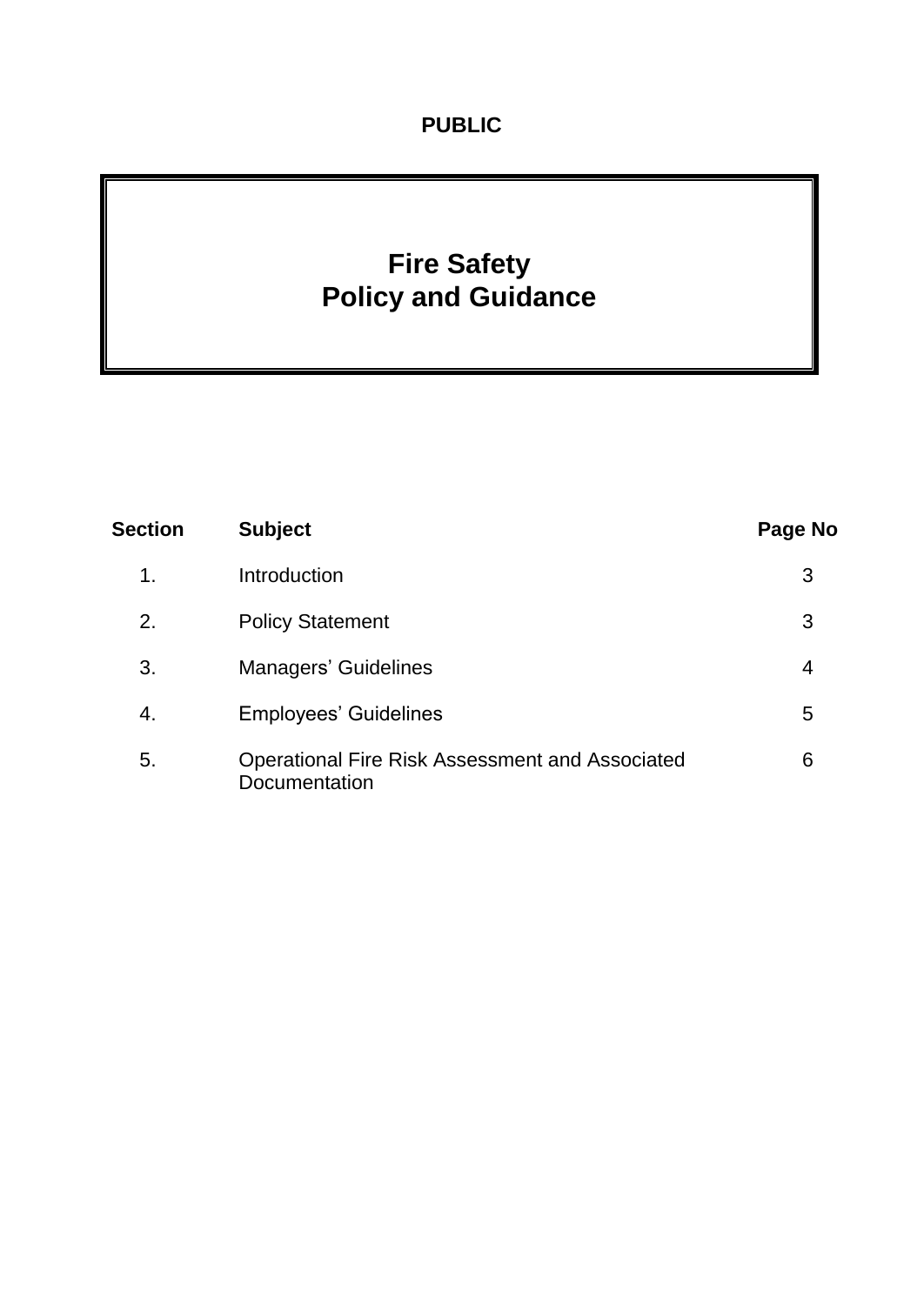# **PUBLIC**

# **Fire Safety Policy and Guidance**

| <b>Section</b> | <b>Subject</b>                                                          | Page No |
|----------------|-------------------------------------------------------------------------|---------|
| 1.             | Introduction                                                            | 3       |
| 2.             | <b>Policy Statement</b>                                                 | 3       |
| 3.             | <b>Managers' Guidelines</b>                                             | 4       |
| 4.             | <b>Employees' Guidelines</b>                                            | 5       |
| 5.             | <b>Operational Fire Risk Assessment and Associated</b><br>Documentation | 6       |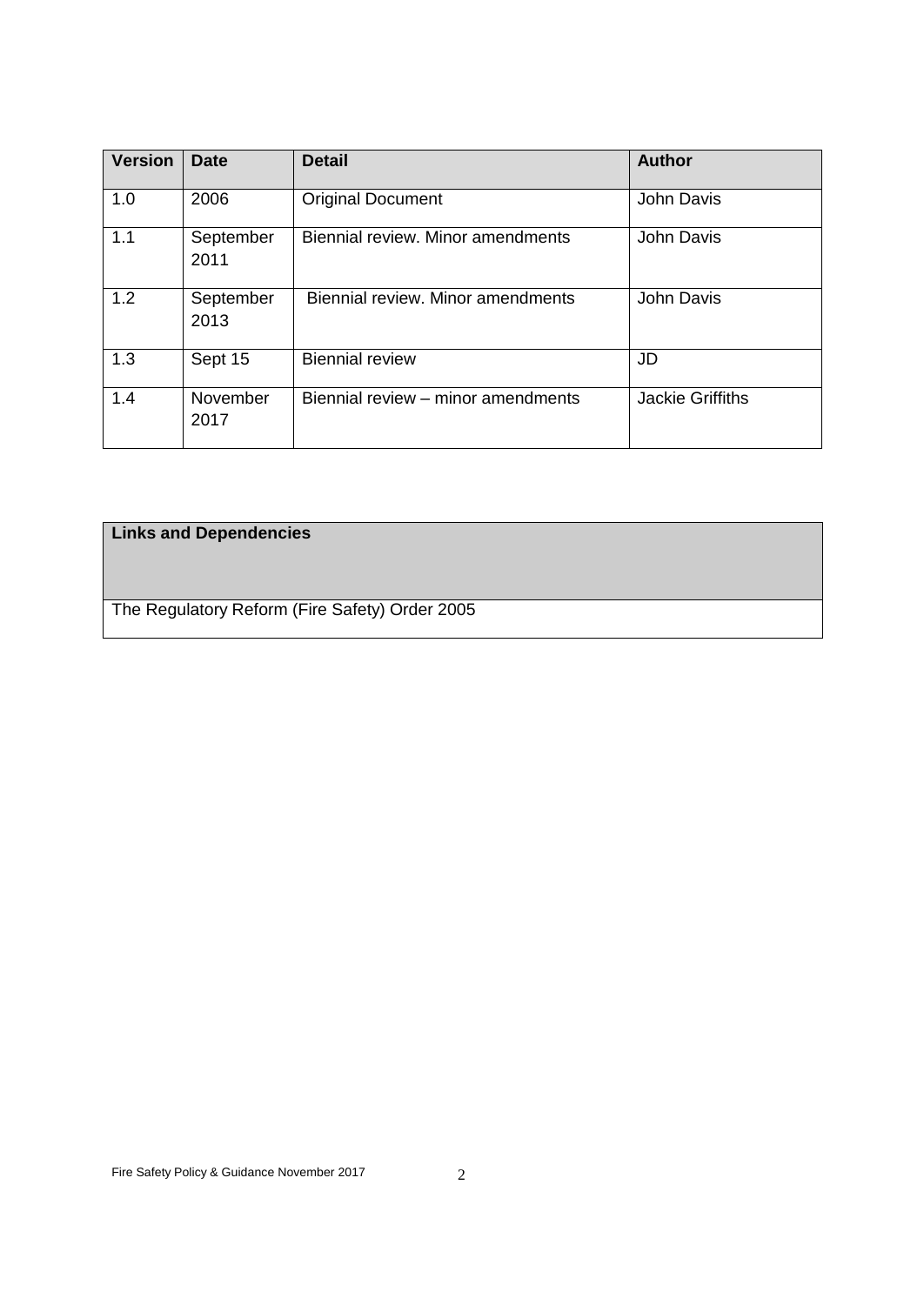| <b>Version</b> | <b>Date</b>       | <b>Detail</b>                      | <b>Author</b>           |
|----------------|-------------------|------------------------------------|-------------------------|
| 1.0            | 2006              | <b>Original Document</b>           | John Davis              |
| 1.1            | September<br>2011 | Biennial review. Minor amendments  | John Davis              |
| 1.2            | September<br>2013 | Biennial review. Minor amendments  | <b>John Davis</b>       |
| 1.3            | Sept 15           | <b>Biennial review</b>             | JD                      |
| 1.4            | November<br>2017  | Biennial review - minor amendments | <b>Jackie Griffiths</b> |

# **Links and Dependencies**

The Regulatory Reform (Fire Safety) Order 2005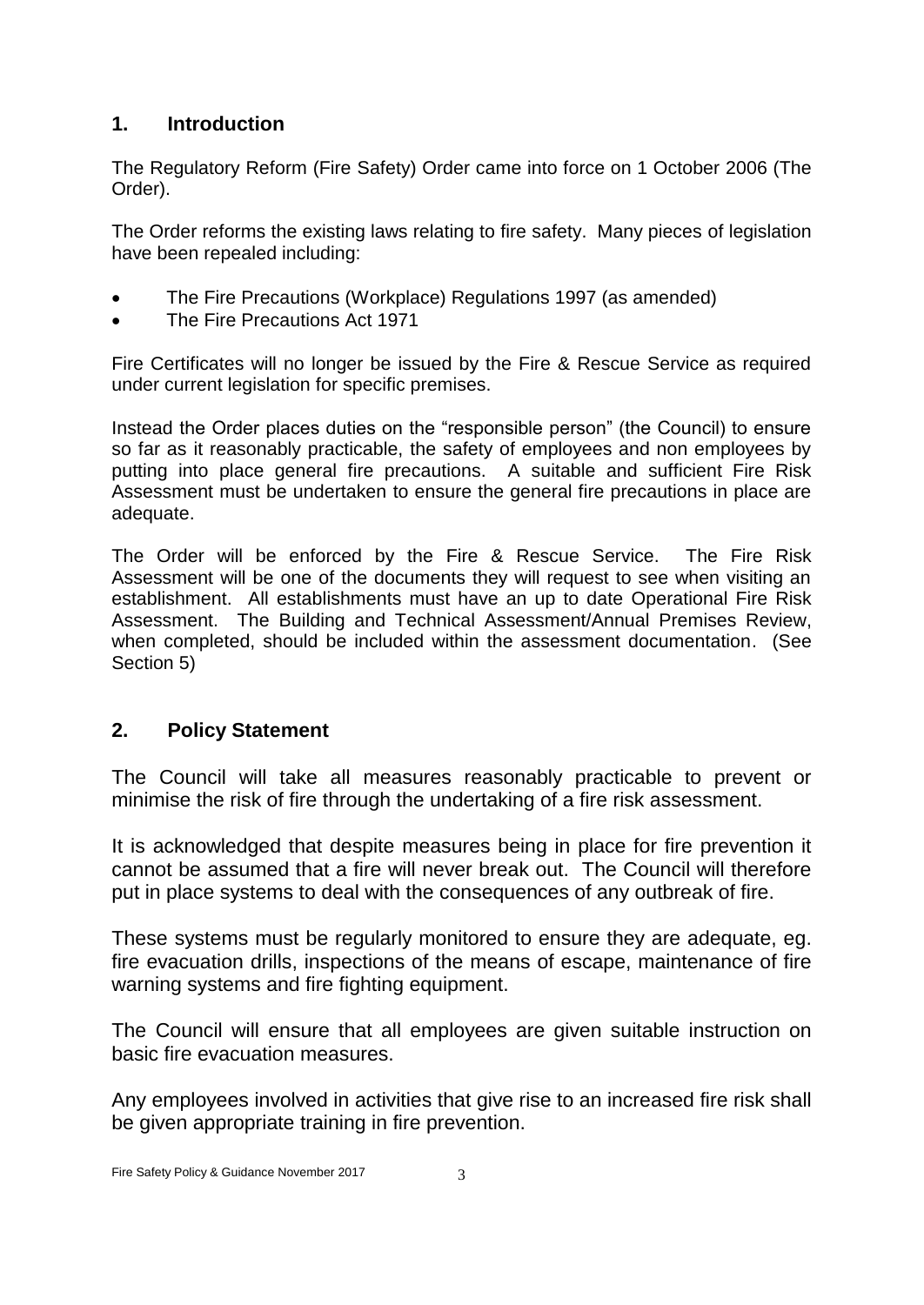### **1. Introduction**

The Regulatory Reform (Fire Safety) Order came into force on 1 October 2006 (The Order).

The Order reforms the existing laws relating to fire safety. Many pieces of legislation have been repealed including:

- The Fire Precautions (Workplace) Regulations 1997 (as amended)
- The Fire Precautions Act 1971

Fire Certificates will no longer be issued by the Fire & Rescue Service as required under current legislation for specific premises.

Instead the Order places duties on the "responsible person" (the Council) to ensure so far as it reasonably practicable, the safety of employees and non employees by putting into place general fire precautions. A suitable and sufficient Fire Risk Assessment must be undertaken to ensure the general fire precautions in place are adequate.

The Order will be enforced by the Fire & Rescue Service. The Fire Risk Assessment will be one of the documents they will request to see when visiting an establishment. All establishments must have an up to date Operational Fire Risk Assessment. The Building and Technical Assessment/Annual Premises Review, when completed, should be included within the assessment documentation. (See Section 5)

# **2. Policy Statement**

The Council will take all measures reasonably practicable to prevent or minimise the risk of fire through the undertaking of a fire risk assessment.

It is acknowledged that despite measures being in place for fire prevention it cannot be assumed that a fire will never break out. The Council will therefore put in place systems to deal with the consequences of any outbreak of fire.

These systems must be regularly monitored to ensure they are adequate, eg. fire evacuation drills, inspections of the means of escape, maintenance of fire warning systems and fire fighting equipment.

The Council will ensure that all employees are given suitable instruction on basic fire evacuation measures.

Any employees involved in activities that give rise to an increased fire risk shall be given appropriate training in fire prevention.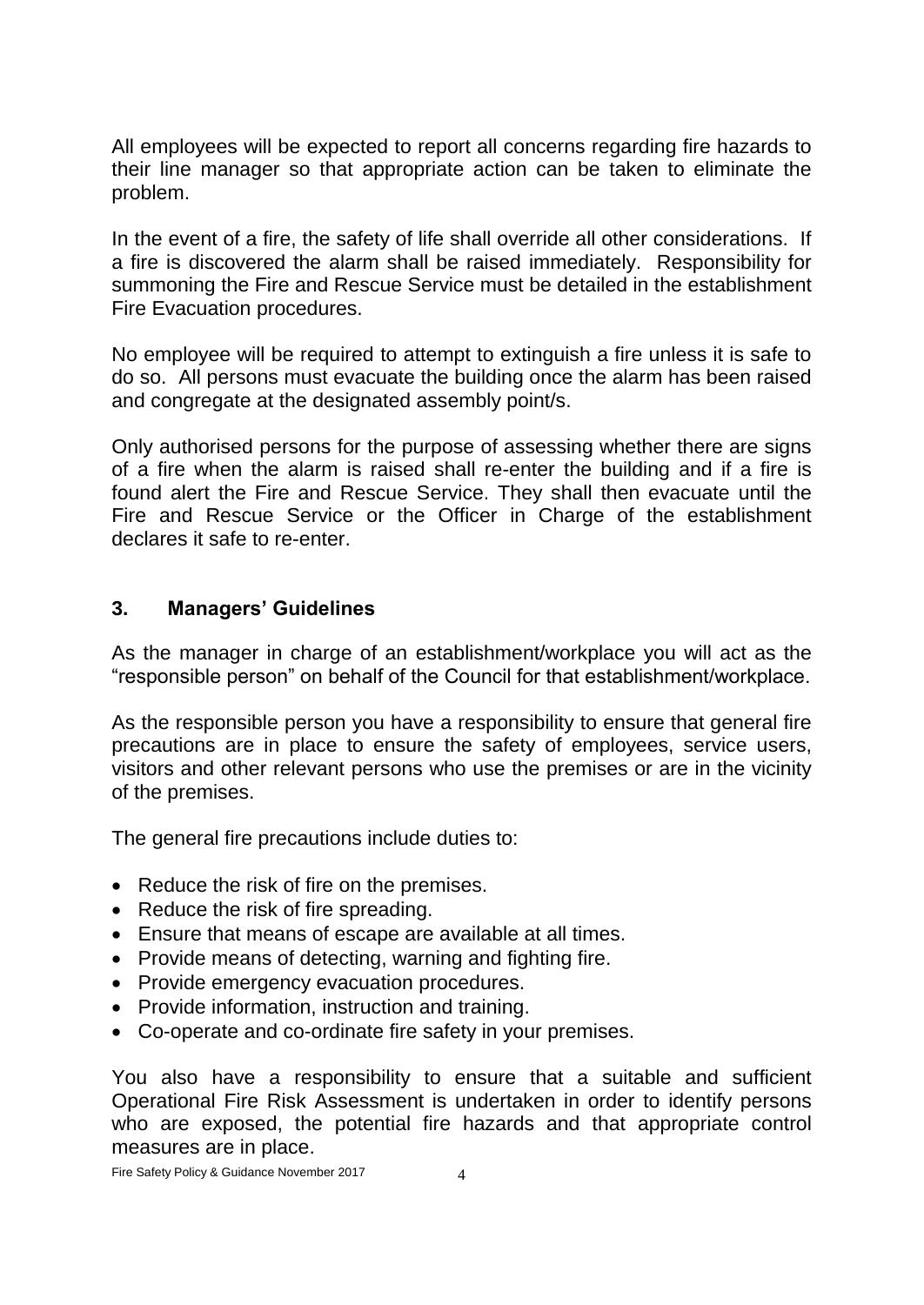All employees will be expected to report all concerns regarding fire hazards to their line manager so that appropriate action can be taken to eliminate the problem.

In the event of a fire, the safety of life shall override all other considerations. If a fire is discovered the alarm shall be raised immediately. Responsibility for summoning the Fire and Rescue Service must be detailed in the establishment Fire Evacuation procedures.

No employee will be required to attempt to extinguish a fire unless it is safe to do so. All persons must evacuate the building once the alarm has been raised and congregate at the designated assembly point/s.

Only authorised persons for the purpose of assessing whether there are signs of a fire when the alarm is raised shall re-enter the building and if a fire is found alert the Fire and Rescue Service. They shall then evacuate until the Fire and Rescue Service or the Officer in Charge of the establishment declares it safe to re-enter.

### **3. Managers' Guidelines**

As the manager in charge of an establishment/workplace you will act as the "responsible person" on behalf of the Council for that establishment/workplace.

As the responsible person you have a responsibility to ensure that general fire precautions are in place to ensure the safety of employees, service users, visitors and other relevant persons who use the premises or are in the vicinity of the premises.

The general fire precautions include duties to:

- Reduce the risk of fire on the premises.
- Reduce the risk of fire spreading.
- Ensure that means of escape are available at all times.
- Provide means of detecting, warning and fighting fire.
- Provide emergency evacuation procedures.
- Provide information, instruction and training.
- Co-operate and co-ordinate fire safety in your premises.

You also have a responsibility to ensure that a suitable and sufficient Operational Fire Risk Assessment is undertaken in order to identify persons who are exposed, the potential fire hazards and that appropriate control measures are in place.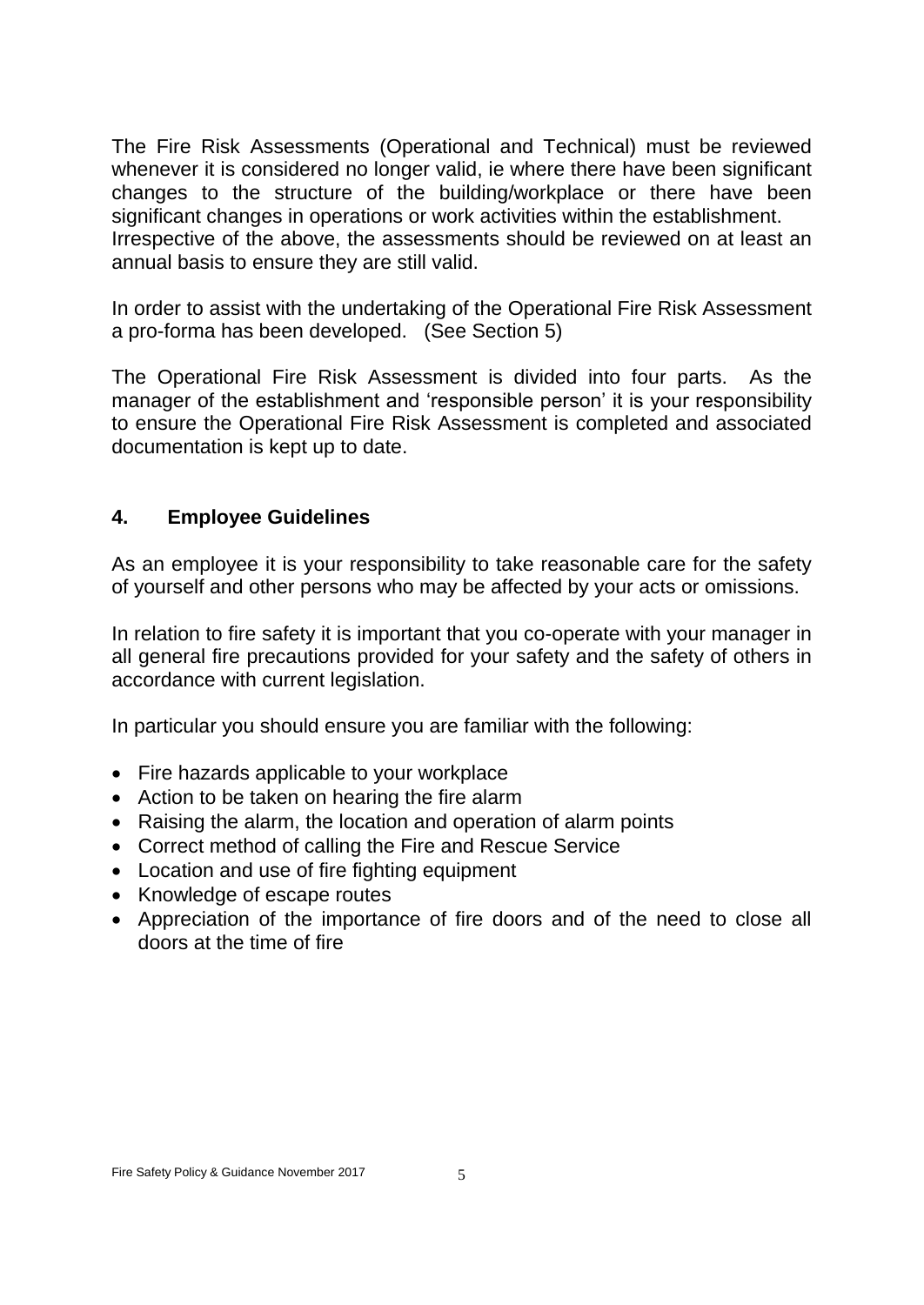The Fire Risk Assessments (Operational and Technical) must be reviewed whenever it is considered no longer valid, ie where there have been significant changes to the structure of the building/workplace or there have been significant changes in operations or work activities within the establishment. Irrespective of the above, the assessments should be reviewed on at least an annual basis to ensure they are still valid.

In order to assist with the undertaking of the Operational Fire Risk Assessment a pro-forma has been developed. (See Section 5)

The Operational Fire Risk Assessment is divided into four parts. As the manager of the establishment and 'responsible person' it is your responsibility to ensure the Operational Fire Risk Assessment is completed and associated documentation is kept up to date.

# **4. Employee Guidelines**

As an employee it is your responsibility to take reasonable care for the safety of yourself and other persons who may be affected by your acts or omissions.

In relation to fire safety it is important that you co-operate with your manager in all general fire precautions provided for your safety and the safety of others in accordance with current legislation.

In particular you should ensure you are familiar with the following:

- Fire hazards applicable to your workplace
- Action to be taken on hearing the fire alarm
- Raising the alarm, the location and operation of alarm points
- Correct method of calling the Fire and Rescue Service
- Location and use of fire fighting equipment
- Knowledge of escape routes
- Appreciation of the importance of fire doors and of the need to close all doors at the time of fire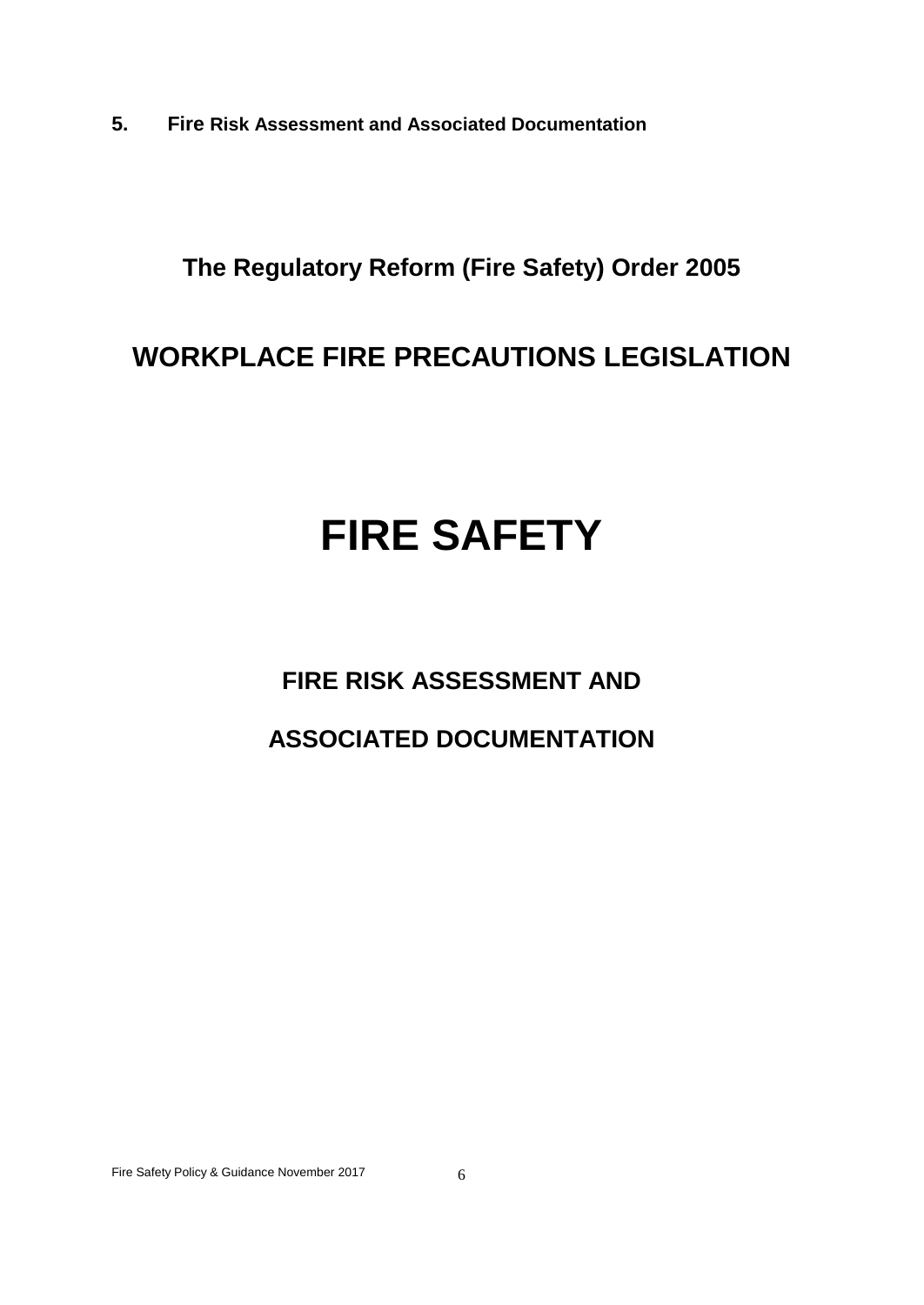**5. Fire Risk Assessment and Associated Documentation**

# **The Regulatory Reform (Fire Safety) Order 2005**

# **WORKPLACE FIRE PRECAUTIONS LEGISLATION**

# **FIRE SAFETY**

# **FIRE RISK ASSESSMENT AND**

# **ASSOCIATED DOCUMENTATION**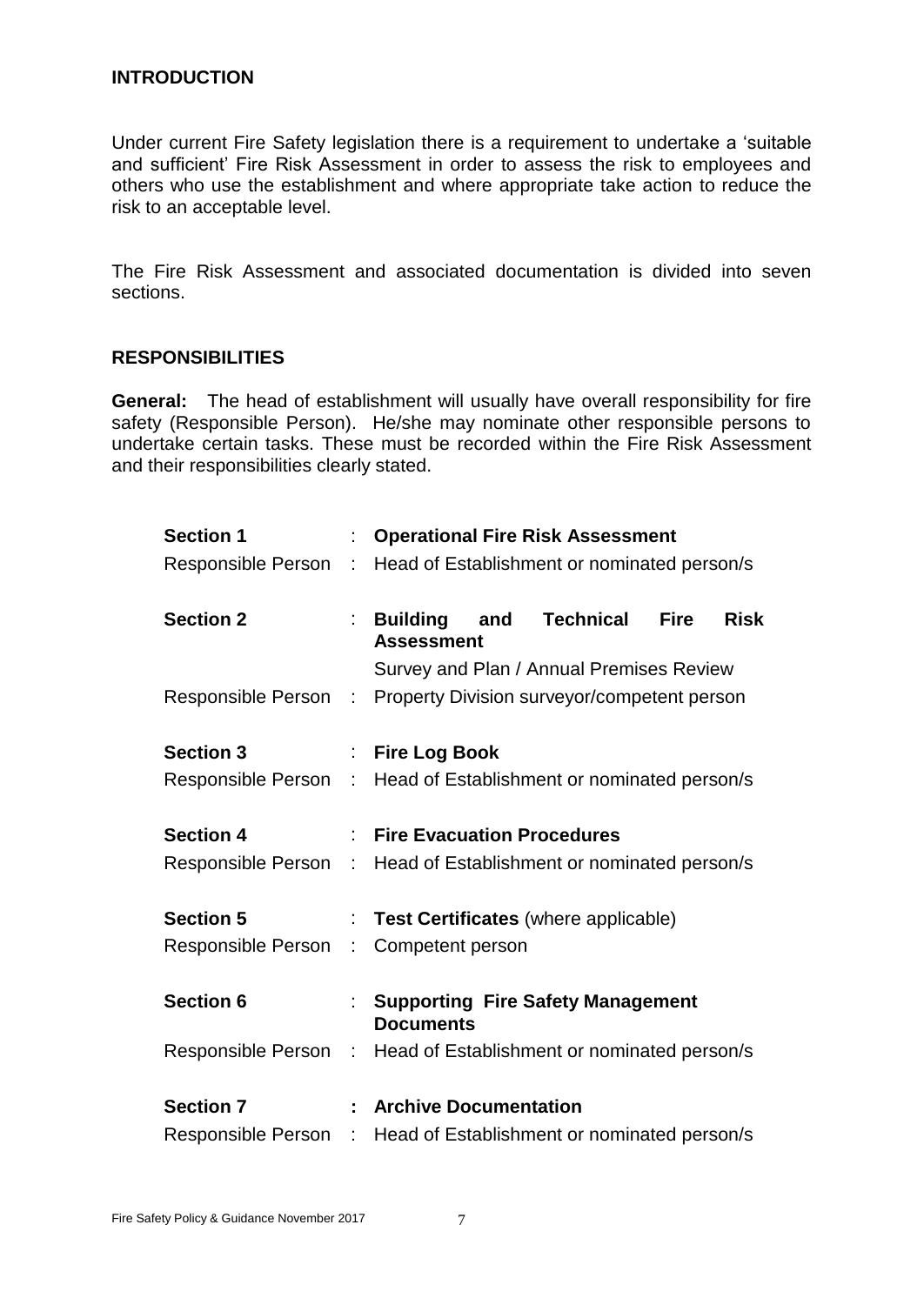#### **INTRODUCTION**

Under current Fire Safety legislation there is a requirement to undertake a 'suitable and sufficient' Fire Risk Assessment in order to assess the risk to employees and others who use the establishment and where appropriate take action to reduce the risk to an acceptable level.

The Fire Risk Assessment and associated documentation is divided into seven sections.

#### **RESPONSIBILITIES**

**General:** The head of establishment will usually have overall responsibility for fire safety (Responsible Person). He/she may nominate other responsible persons to undertake certain tasks. These must be recorded within the Fire Risk Assessment and their responsibilities clearly stated.

| <b>Section 1</b>                                                 |    | : Operational Fire Risk Assessment                               |  |                                               |             |             |
|------------------------------------------------------------------|----|------------------------------------------------------------------|--|-----------------------------------------------|-------------|-------------|
|                                                                  |    | Responsible Person : Head of Establishment or nominated person/s |  |                                               |             |             |
| <b>Section 2</b>                                                 |    | : Building and<br><b>Assessment</b>                              |  | <b>Technical</b>                              | <b>Fire</b> | <b>Risk</b> |
|                                                                  |    |                                                                  |  | Survey and Plan / Annual Premises Review      |             |             |
| Responsible Person : Property Division surveyor/competent person |    |                                                                  |  |                                               |             |             |
| <b>Section 3</b>                                                 |    | : Fire Log Book                                                  |  |                                               |             |             |
| Responsible Person : Head of Establishment or nominated person/s |    |                                                                  |  |                                               |             |             |
| <b>Section 4</b>                                                 |    | : Fire Evacuation Procedures                                     |  |                                               |             |             |
| Responsible Person : Head of Establishment or nominated person/s |    |                                                                  |  |                                               |             |             |
| <b>Section 5</b>                                                 | ÷. |                                                                  |  | <b>Test Certificates</b> (where applicable)   |             |             |
| Responsible Person :                                             |    | Competent person                                                 |  |                                               |             |             |
| <b>Section 6</b>                                                 |    | <b>Documents</b>                                                 |  | <b>Supporting Fire Safety Management</b>      |             |             |
| Responsible Person : Head of Establishment or nominated person/s |    |                                                                  |  |                                               |             |             |
| <b>Section 7</b>                                                 |    | : Archive Documentation                                          |  |                                               |             |             |
| <b>Responsible Person</b>                                        |    |                                                                  |  | : Head of Establishment or nominated person/s |             |             |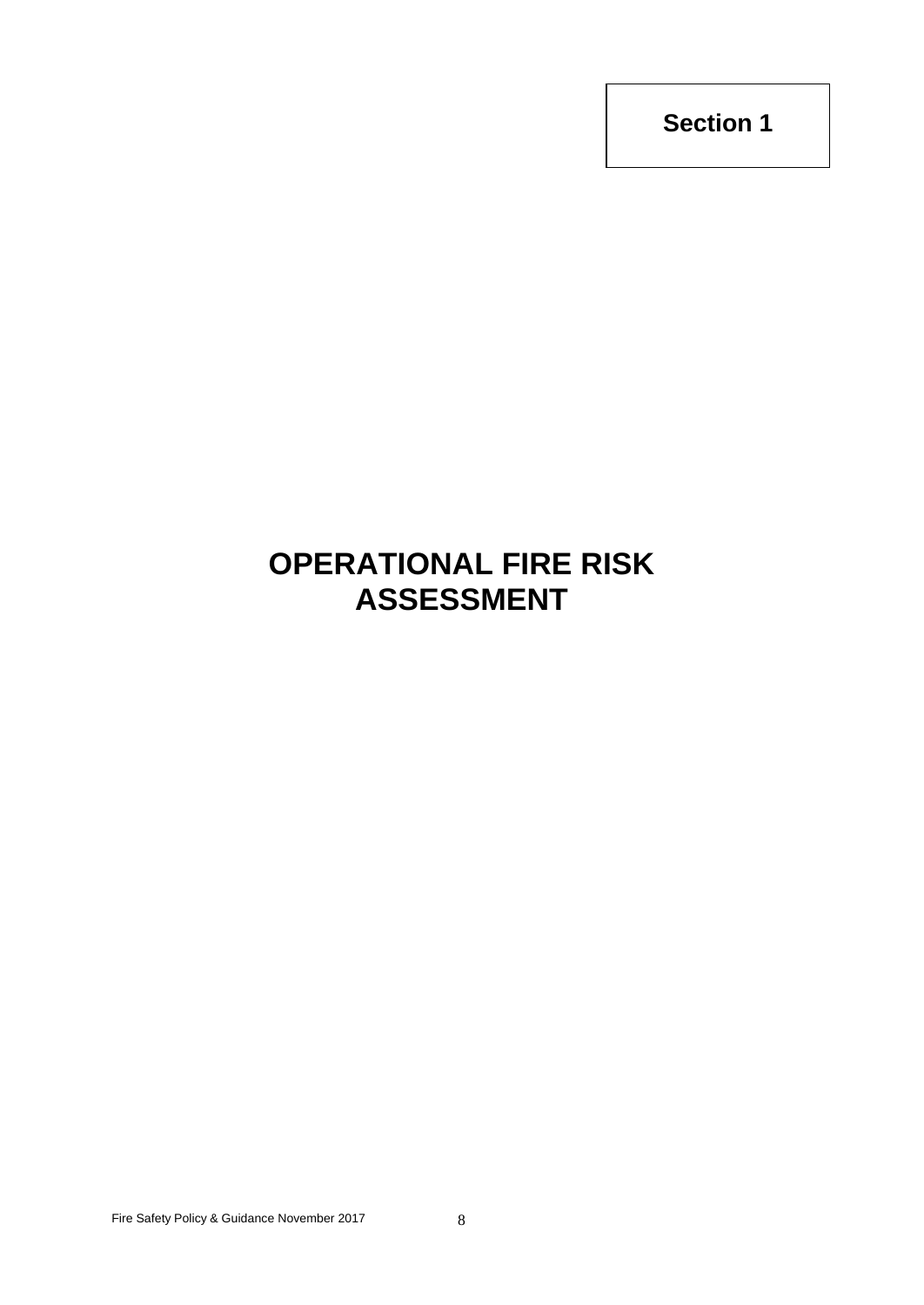# **OPERATIONAL FIRE RISK ASSESSMENT**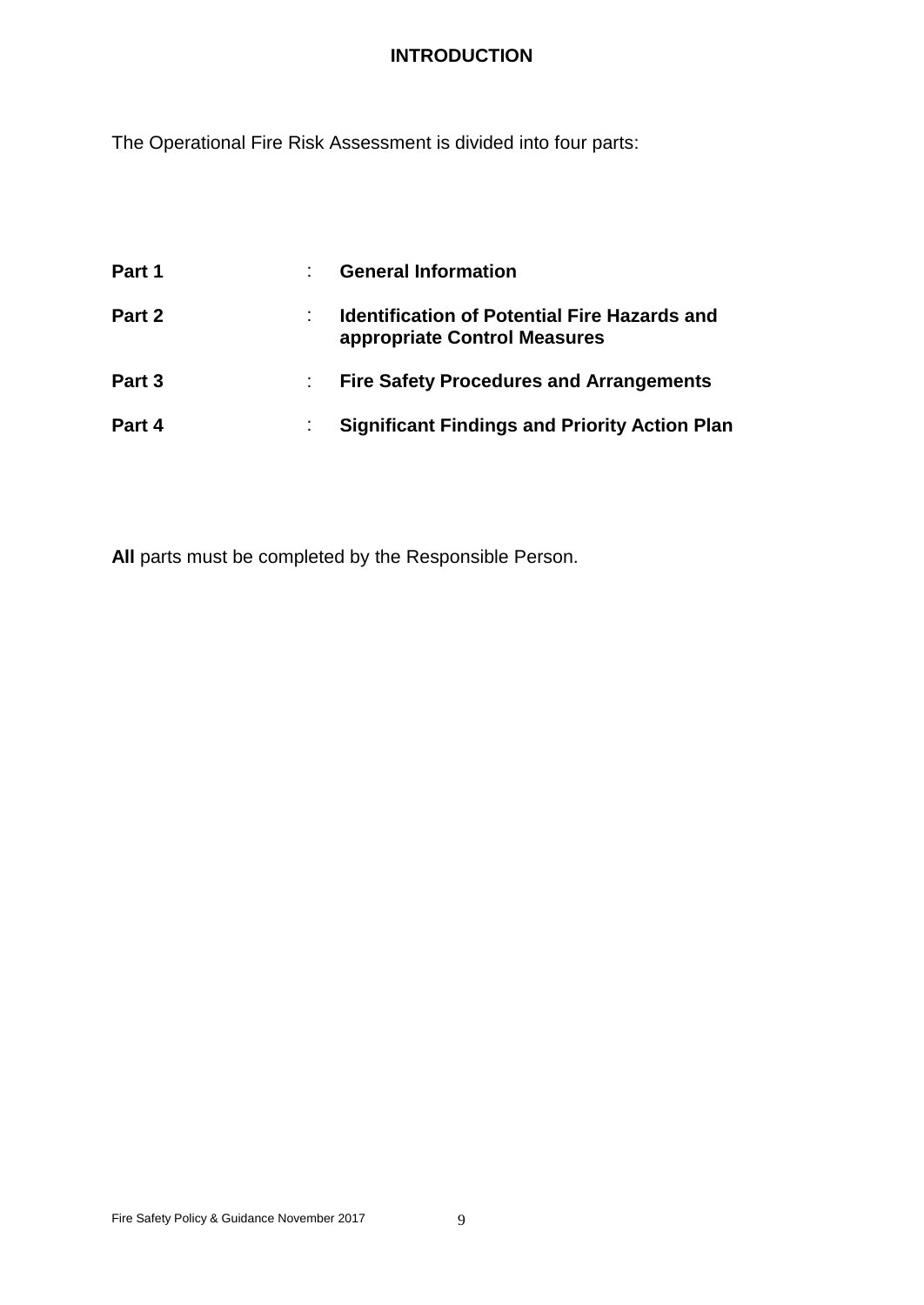# **INTRODUCTION**

The Operational Fire Risk Assessment is divided into four parts:

| Part 1 | <b>General Information</b>                                                          |
|--------|-------------------------------------------------------------------------------------|
| Part 2 | <b>Identification of Potential Fire Hazards and</b><br>appropriate Control Measures |
| Part 3 | <b>Fire Safety Procedures and Arrangements</b>                                      |
| Part 4 | <b>Significant Findings and Priority Action Plan</b>                                |

**All** parts must be completed by the Responsible Person.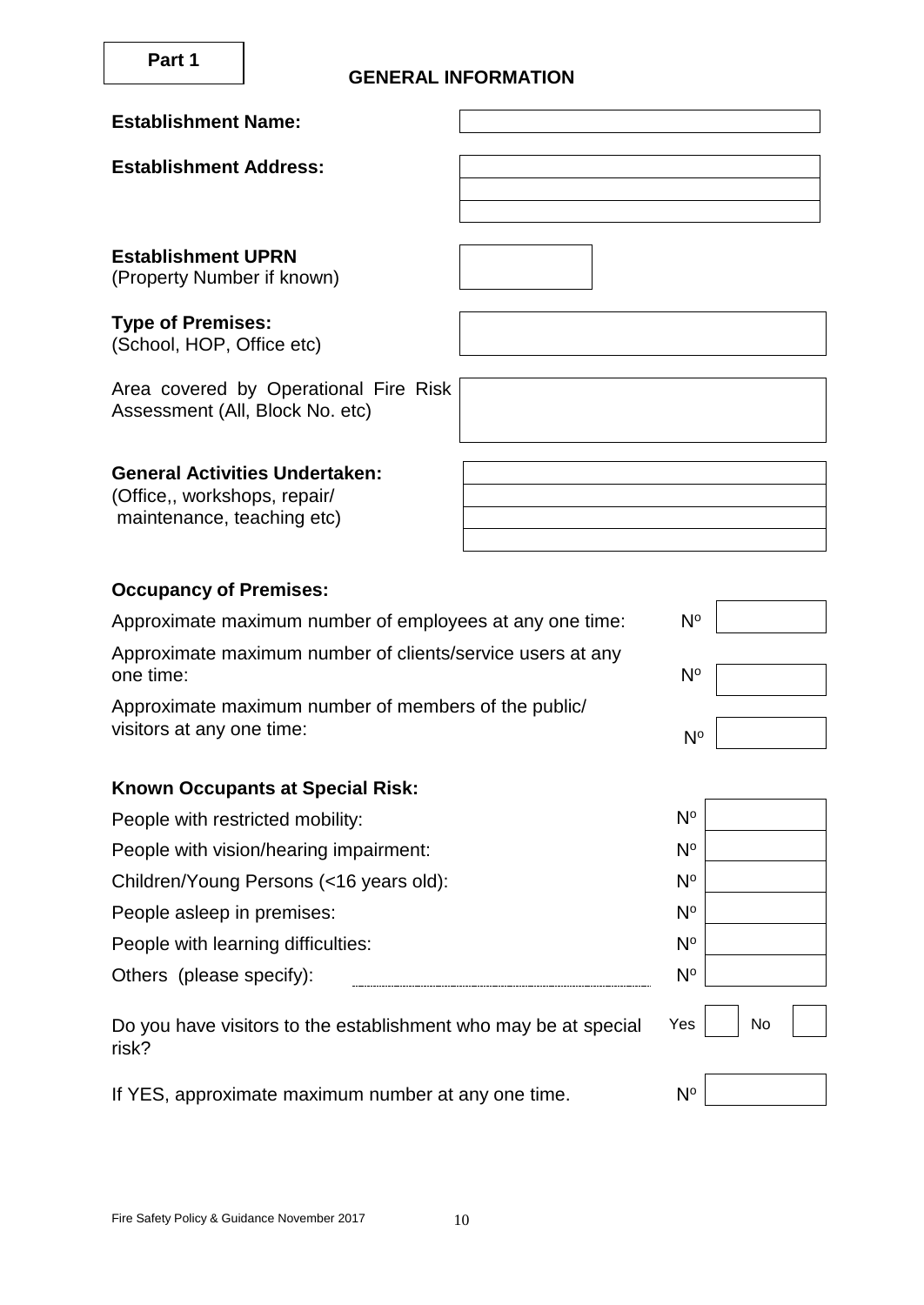### **GENERAL INFORMATION**

ř.

| <b>Establishment Name:</b>                                                                          |             |    |  |
|-----------------------------------------------------------------------------------------------------|-------------|----|--|
| <b>Establishment Address:</b>                                                                       |             |    |  |
|                                                                                                     |             |    |  |
|                                                                                                     |             |    |  |
| <b>Establishment UPRN</b><br>(Property Number if known)                                             |             |    |  |
| <b>Type of Premises:</b><br>(School, HOP, Office etc)                                               |             |    |  |
| Area covered by Operational Fire Risk<br>Assessment (All, Block No. etc)                            |             |    |  |
| <b>General Activities Undertaken:</b><br>(Office,, workshops, repair/<br>maintenance, teaching etc) |             |    |  |
| <b>Occupancy of Premises:</b>                                                                       |             |    |  |
| Approximate maximum number of employees at any one time:                                            | $N^{\circ}$ |    |  |
| Approximate maximum number of clients/service users at any<br>one time:                             | $N^{\circ}$ |    |  |
| Approximate maximum number of members of the public/<br>visitors at any one time:                   | $N^{\circ}$ |    |  |
| <b>Known Occupants at Special Risk:</b>                                                             |             |    |  |
| People with restricted mobility:                                                                    | $N^{\circ}$ |    |  |
| People with vision/hearing impairment:                                                              | $N^{\circ}$ |    |  |
| Children/Young Persons (<16 years old):                                                             | $N^{\circ}$ |    |  |
| People asleep in premises:                                                                          | $N^{\circ}$ |    |  |
| People with learning difficulties:                                                                  | $N^{\circ}$ |    |  |
| Others (please specify):                                                                            | $N^{\circ}$ |    |  |
| Do you have visitors to the establishment who may be at special<br>risk?                            | Yes         | No |  |
| If YES, approximate maximum number at any one time.                                                 | $N^{\circ}$ |    |  |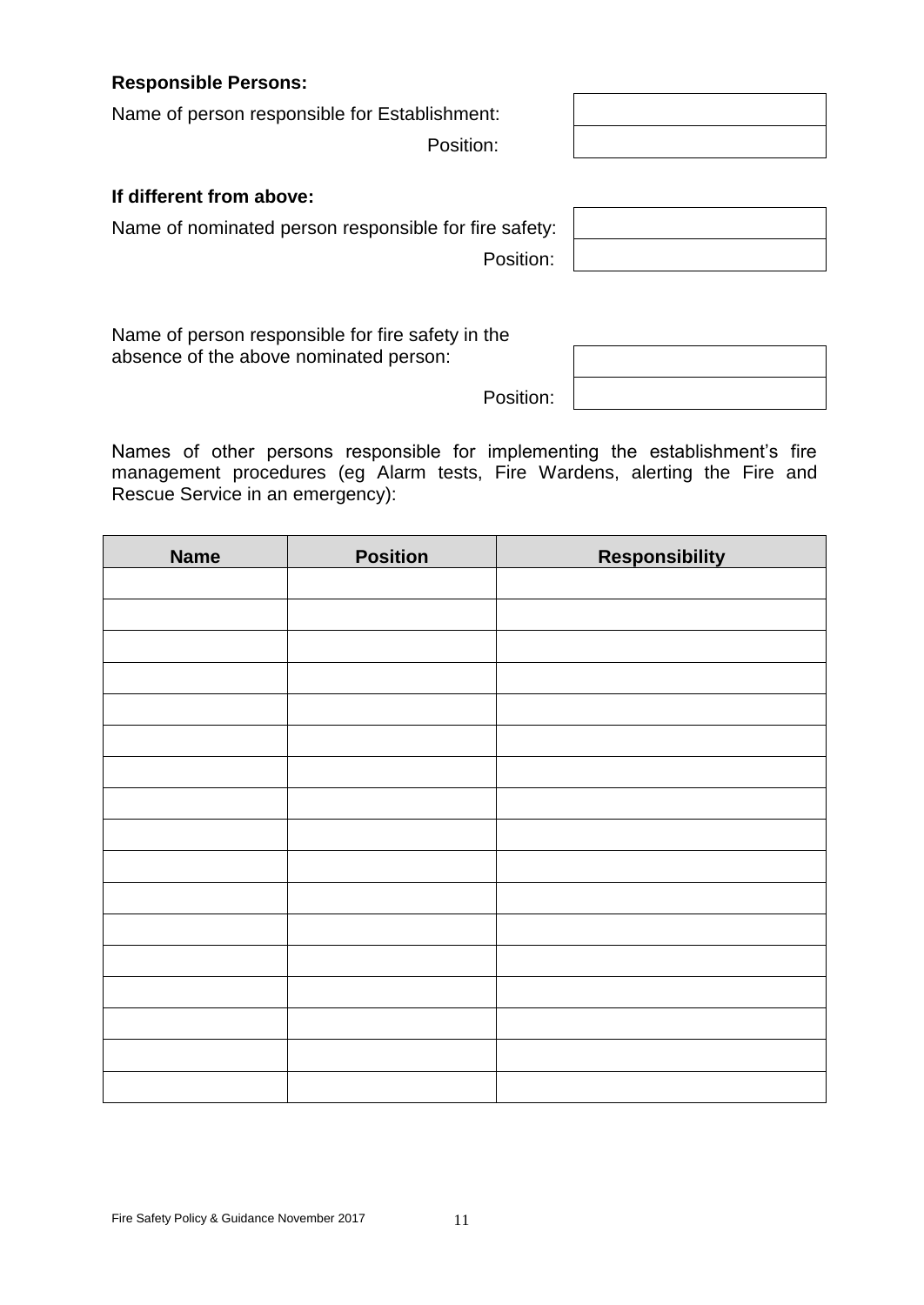**Responsible Persons:**

Name of person responsible for Establishment:

Position:

### **If different from above:**

Name of nominated person responsible for fire safety:

Name of person responsible for fire safety in the absence of the above nominated person:

Names of other persons responsible for implementing the establishment's fire management procedures (eg Alarm tests, Fire Wardens, alerting the Fire and Rescue Service in an emergency):

| <b>Name</b> | <b>Position</b> | <b>Responsibility</b> |
|-------------|-----------------|-----------------------|
|             |                 |                       |
|             |                 |                       |
|             |                 |                       |
|             |                 |                       |
|             |                 |                       |
|             |                 |                       |
|             |                 |                       |
|             |                 |                       |
|             |                 |                       |
|             |                 |                       |
|             |                 |                       |
|             |                 |                       |
|             |                 |                       |
|             |                 |                       |
|             |                 |                       |
|             |                 |                       |
|             |                 |                       |
|             |                 |                       |

Position:

Position:

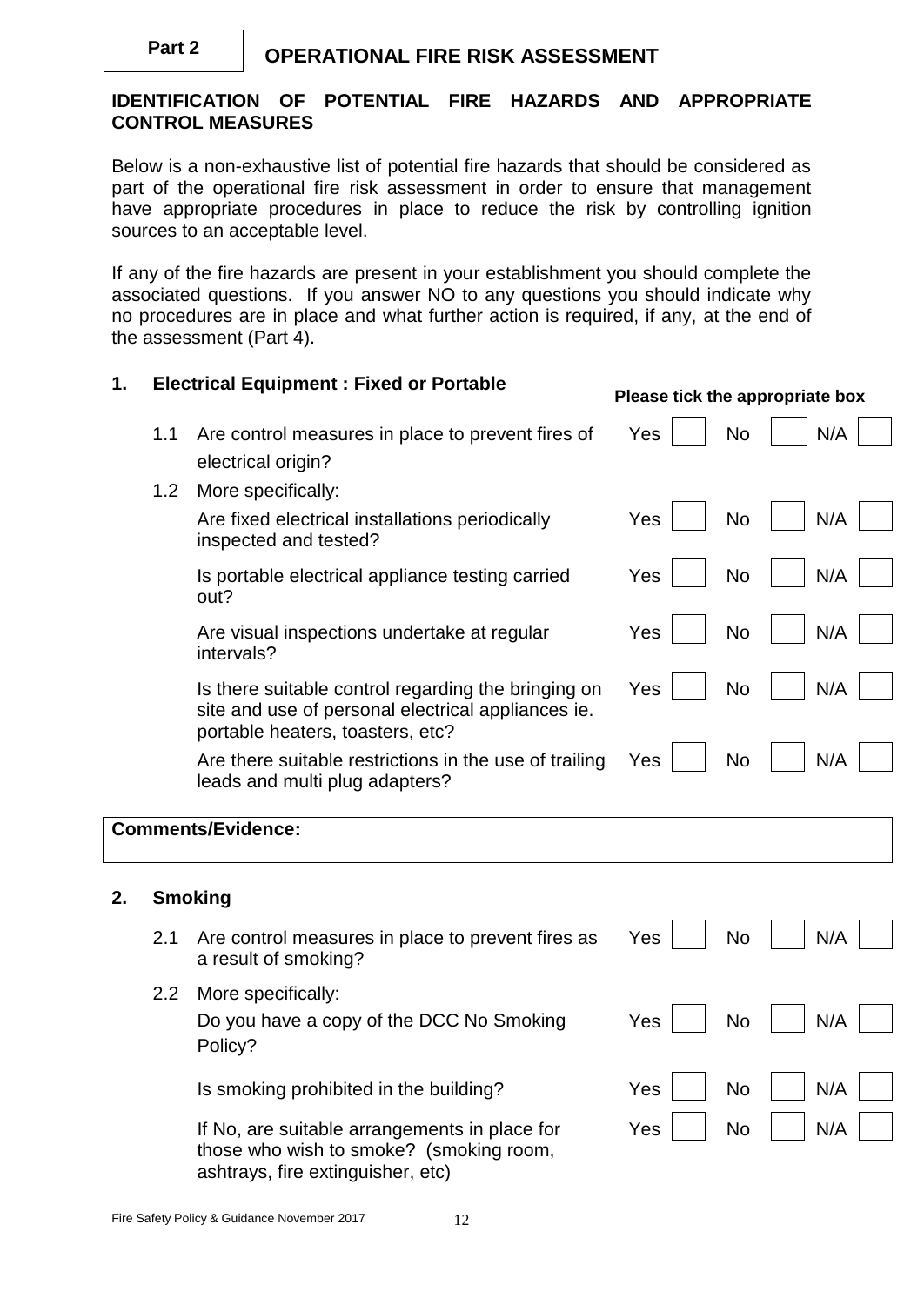#### **IDENTIFICATION OF POTENTIAL FIRE HAZARDS AND APPROPRIATE CONTROL MEASURES**

Below is a non-exhaustive list of potential fire hazards that should be considered as part of the operational fire risk assessment in order to ensure that management have appropriate procedures in place to reduce the risk by controlling ignition sources to an acceptable level.

If any of the fire hazards are present in your establishment you should complete the associated questions. If you answer NO to any questions you should indicate why no procedures are in place and what further action is required, if any, at the end of the assessment (Part 4).

### **1. Electrical Equipment : Fixed or Portable Please tick the appropriate box** 1.1 Are control measures in place to prevent fires of electrical origin?  $Yes \mid \text{No} \mid \text{N/A}$ 1.2 More specifically: Are fixed electrical installations periodically inspected and tested?  $Yes |$  No  $|$  N/A Is portable electrical appliance testing carried out?  $Yes \mid \mid No \mid \mid N/A$ Are visual inspections undertake at regular intervals?  $Yes \perp \perp No \perp \perp N/A$ Is there suitable control regarding the bringing on site and use of personal electrical appliances ie. portable heaters, toasters, etc?  $Yes \parallel$  No  $\parallel$  N/A Are there suitable restrictions in the use of trailing leads and multi plug adapters?  $Yes$   $\vert$  No  $\vert$  N/A **Comments/Evidence: 2. Smoking**  2.1 Are control measures in place to prevent fires as a result of smoking?  $Yes | No | N/A$ 2.2 More specifically: Do you have a copy of the DCC No Smoking Policy?  $Yes |$  No  $|$  N/A

Is smoking prohibited in the building?  $Yes$  | No | N/A

If No, are suitable arrangements in place for those who wish to smoke? (smoking room, ashtrays, fire extinguisher, etc)

 $Yes \mid \mid No \mid \mid N/A$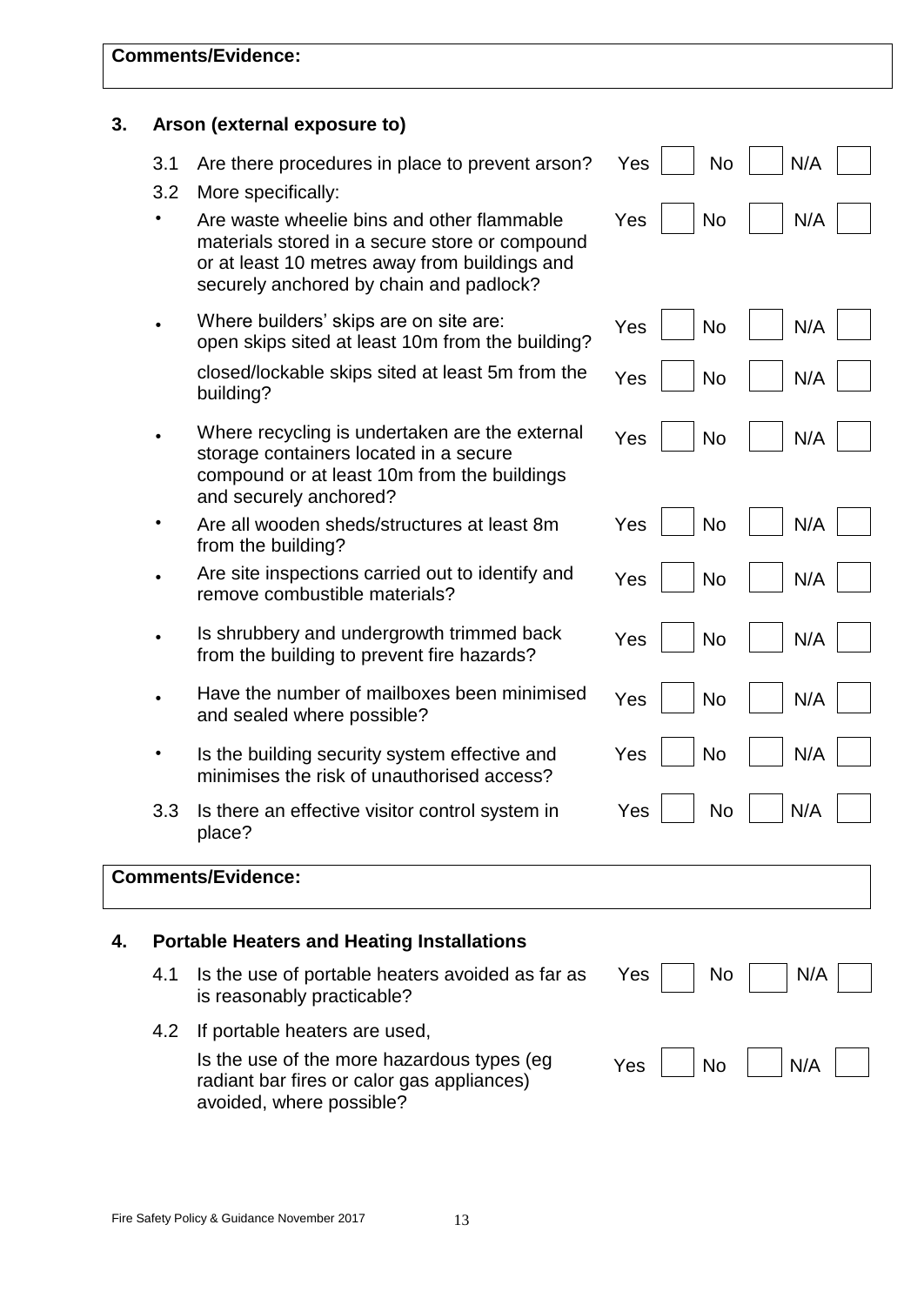| 3. |            | Arson (external exposure to)                                                                                                                                                             |                  |     |
|----|------------|------------------------------------------------------------------------------------------------------------------------------------------------------------------------------------------|------------------|-----|
|    | 3.1<br>3.2 | Are there procedures in place to prevent arson?<br>More specifically:                                                                                                                    | <b>No</b><br>Yes | N/A |
|    |            | Are waste wheelie bins and other flammable<br>materials stored in a secure store or compound<br>or at least 10 metres away from buildings and<br>securely anchored by chain and padlock? | Yes<br><b>No</b> | N/A |
|    |            | Where builders' skips are on site are:<br>open skips sited at least 10m from the building?                                                                                               | Yes<br><b>No</b> | N/A |
|    |            | closed/lockable skips sited at least 5m from the<br>building?                                                                                                                            | Yes<br><b>No</b> | N/A |
|    |            | Where recycling is undertaken are the external<br>storage containers located in a secure<br>compound or at least 10m from the buildings<br>and securely anchored?                        | Yes<br><b>No</b> | N/A |
|    |            | Are all wooden sheds/structures at least 8m<br>from the building?                                                                                                                        | <b>No</b><br>Yes | N/A |
|    |            | Are site inspections carried out to identify and<br>remove combustible materials?                                                                                                        | Yes<br><b>No</b> | N/A |
|    |            | Is shrubbery and undergrowth trimmed back<br>from the building to prevent fire hazards?                                                                                                  | Yes<br><b>No</b> | N/A |
|    |            | Have the number of mailboxes been minimised<br>and sealed where possible?                                                                                                                | Yes<br><b>No</b> | N/A |
|    |            | Is the building security system effective and<br>minimises the risk of unauthorised access?                                                                                              | Yes<br><b>No</b> | N/A |
|    | 3.3        | Is there an effective visitor control system in<br>place?                                                                                                                                | No<br>Yes        | N/A |
|    |            | <b>Comments/Evidence:</b>                                                                                                                                                                |                  |     |
| 4. |            | <b>Portable Heaters and Heating Installations</b>                                                                                                                                        |                  |     |
|    | 4.1        | Is the use of portable heaters avoided as far as<br>is reasonably practicable?                                                                                                           | Yes<br>No.       | N/A |
|    | 4.2        | If portable heaters are used,                                                                                                                                                            |                  |     |
|    |            | Is the use of the more hazardous types (eg<br>radiant bar fires or calor gas appliances)<br>avoided, where possible?                                                                     | Yes<br><b>No</b> | N/A |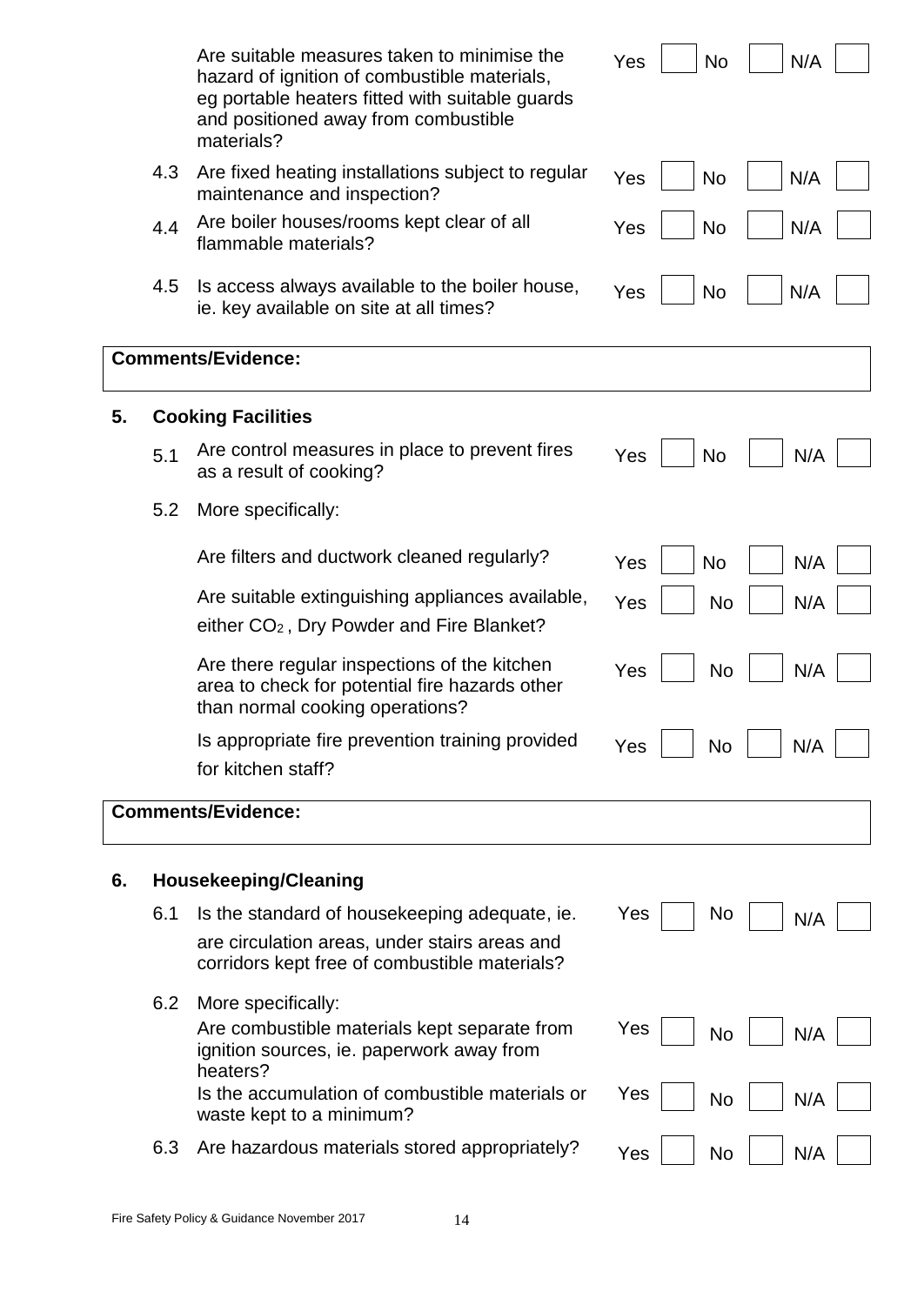|    |     | Are suitable measures taken to minimise the<br>hazard of ignition of combustible materials,<br>eg portable heaters fitted with suitable guards<br>and positioned away from combustible<br>materials? | Yes<br>N/A<br><b>No</b> |
|----|-----|------------------------------------------------------------------------------------------------------------------------------------------------------------------------------------------------------|-------------------------|
|    | 4.3 | Are fixed heating installations subject to regular<br>maintenance and inspection?                                                                                                                    | N/A<br><b>No</b><br>Yes |
|    | 4.4 | Are boiler houses/rooms kept clear of all<br>flammable materials?                                                                                                                                    | N/A<br>Yes<br><b>No</b> |
|    | 4.5 | Is access always available to the boiler house,<br>ie. key available on site at all times?                                                                                                           | N/A<br>Yes<br><b>No</b> |
|    |     | <b>Comments/Evidence:</b>                                                                                                                                                                            |                         |
| 5. |     | <b>Cooking Facilities</b>                                                                                                                                                                            |                         |
|    | 5.1 | Are control measures in place to prevent fires<br>as a result of cooking?                                                                                                                            | <b>No</b><br>N/A<br>Yes |
|    | 5.2 | More specifically:                                                                                                                                                                                   |                         |
|    |     | Are filters and ductwork cleaned regularly?                                                                                                                                                          | N/A<br>Yes<br><b>No</b> |
|    |     | Are suitable extinguishing appliances available,<br>either CO <sub>2</sub> , Dry Powder and Fire Blanket?                                                                                            | N/A<br><b>No</b><br>Yes |
|    |     | Are there regular inspections of the kitchen<br>area to check for potential fire hazards other<br>than normal cooking operations?                                                                    | <b>No</b><br>N/A<br>Yes |
|    |     | Is appropriate fire prevention training provided<br>for kitchen staff?                                                                                                                               | No<br>N/A<br>Yes        |
|    |     | <b>Comments/Evidence:</b>                                                                                                                                                                            |                         |
| 6. |     | <b>Housekeeping/Cleaning</b>                                                                                                                                                                         |                         |
|    | 6.1 | Is the standard of housekeeping adequate, ie.                                                                                                                                                        | Yes<br>No<br>N/A        |
|    |     | are circulation areas, under stairs areas and<br>corridors kept free of combustible materials?                                                                                                       |                         |
|    | 6.2 | More specifically:<br>Are combustible materials kept separate from<br>ignition sources, ie. paperwork away from<br>heaters?                                                                          | Yes<br>N/A<br>No        |
|    |     | Is the accumulation of combustible materials or<br>waste kept to a minimum?                                                                                                                          | Yes<br><b>No</b><br>N/A |
|    | 6.3 | Are hazardous materials stored appropriately?                                                                                                                                                        | N/A<br>No<br>Yes        |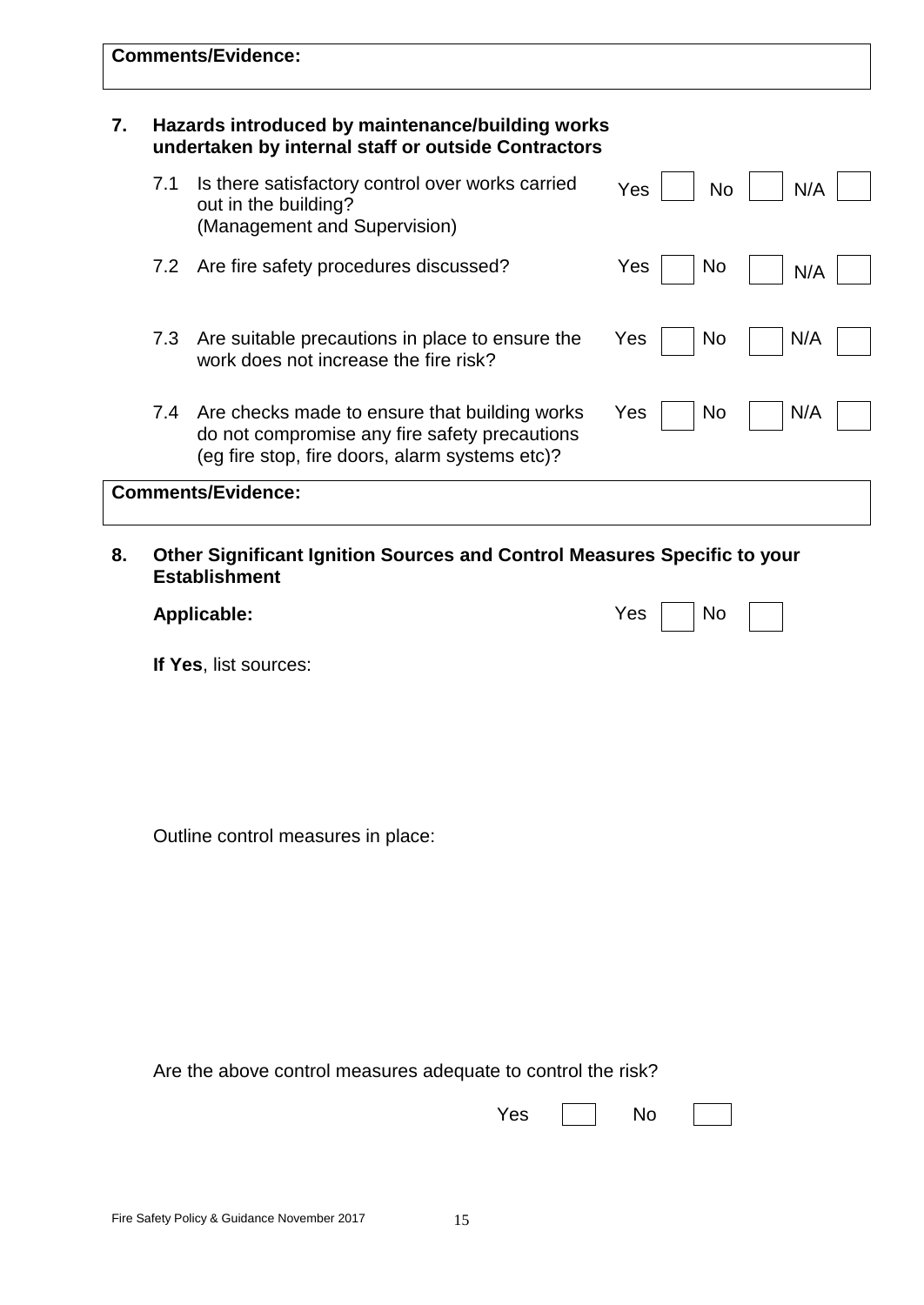|    |     | <b>Comments/Evidence:</b>                                                                                                                        |     |           |     |
|----|-----|--------------------------------------------------------------------------------------------------------------------------------------------------|-----|-----------|-----|
| 7. |     | Hazards introduced by maintenance/building works<br>undertaken by internal staff or outside Contractors                                          |     |           |     |
|    | 7.1 | Is there satisfactory control over works carried<br>out in the building?<br>(Management and Supervision)                                         |     | Yes<br>No | N/A |
|    | 7.2 | Are fire safety procedures discussed?                                                                                                            |     | No<br>Yes | N/A |
|    | 7.3 | Are suitable precautions in place to ensure the<br>work does not increase the fire risk?                                                         |     | No<br>Yes | N/A |
|    | 7.4 | Are checks made to ensure that building works<br>do not compromise any fire safety precautions<br>(eg fire stop, fire doors, alarm systems etc)? |     | No<br>Yes | N/A |
|    |     | <b>Comments/Evidence:</b>                                                                                                                        |     |           |     |
| 8. |     | Other Significant Ignition Sources and Control Measures Specific to your<br><b>Establishment</b>                                                 |     |           |     |
|    |     | <b>Applicable:</b>                                                                                                                               |     | Yes<br>No |     |
|    |     | If Yes, list sources:                                                                                                                            |     |           |     |
|    |     | Outline control measures in place:                                                                                                               |     |           |     |
|    |     | Are the above control measures adequate to control the risk?                                                                                     | Yes | No        |     |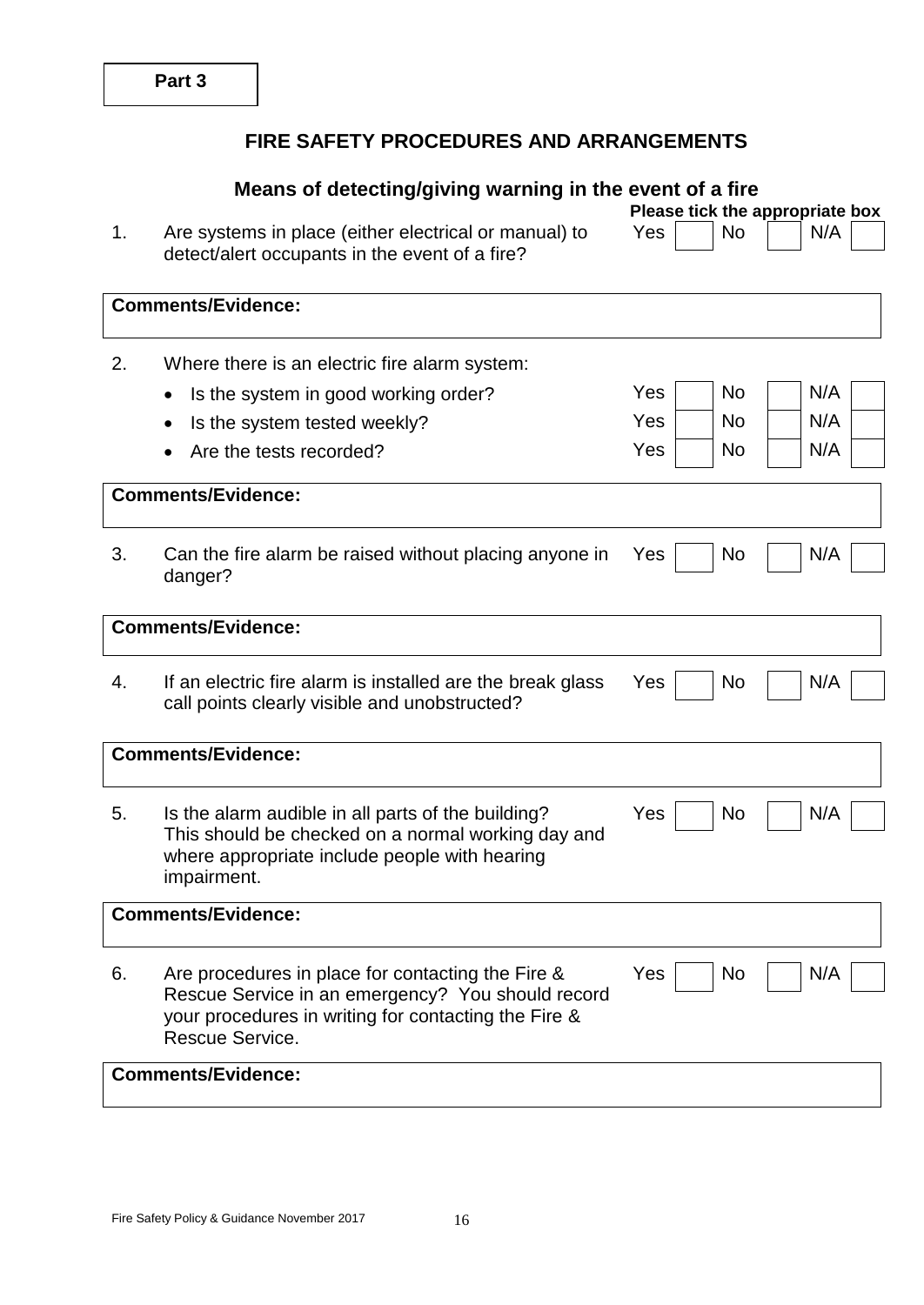# **FIRE SAFETY PROCEDURES AND ARRANGEMENTS**

|    | Means of detecting/giving warning in the event of a fire                                                                                                                          | Please tick the appropriate box |
|----|-----------------------------------------------------------------------------------------------------------------------------------------------------------------------------------|---------------------------------|
| 1. | Are systems in place (either electrical or manual) to<br>detect/alert occupants in the event of a fire?                                                                           | N/A<br>Yes<br>No.               |
|    | <b>Comments/Evidence:</b>                                                                                                                                                         |                                 |
| 2. | Where there is an electric fire alarm system:                                                                                                                                     |                                 |
|    | Is the system in good working order?<br>$\bullet$                                                                                                                                 | N/A<br>No<br>Yes                |
|    | Is the system tested weekly?<br>$\bullet$                                                                                                                                         | N/A<br>Yes<br><b>No</b>         |
|    | Are the tests recorded?                                                                                                                                                           | N/A<br>Yes<br>No                |
|    | <b>Comments/Evidence:</b>                                                                                                                                                         |                                 |
| 3. | Can the fire alarm be raised without placing anyone in<br>danger?                                                                                                                 | N/A<br>No<br>Yes                |
|    | <b>Comments/Evidence:</b>                                                                                                                                                         |                                 |
| 4. | If an electric fire alarm is installed are the break glass<br>call points clearly visible and unobstructed?                                                                       | N/A<br>Yes<br>No                |
|    | <b>Comments/Evidence:</b>                                                                                                                                                         |                                 |
| 5. | Is the alarm audible in all parts of the building?<br>This should be checked on a normal working day and<br>where appropriate include people with hearing<br>impairment.          | N/A<br>Yes<br>No                |
|    | <b>Comments/Evidence:</b>                                                                                                                                                         |                                 |
| 6. | Are procedures in place for contacting the Fire &<br>Rescue Service in an emergency? You should record<br>your procedures in writing for contacting the Fire &<br>Rescue Service. | No<br>N/A<br>Yes                |
|    | <b>Comments/Evidence:</b>                                                                                                                                                         |                                 |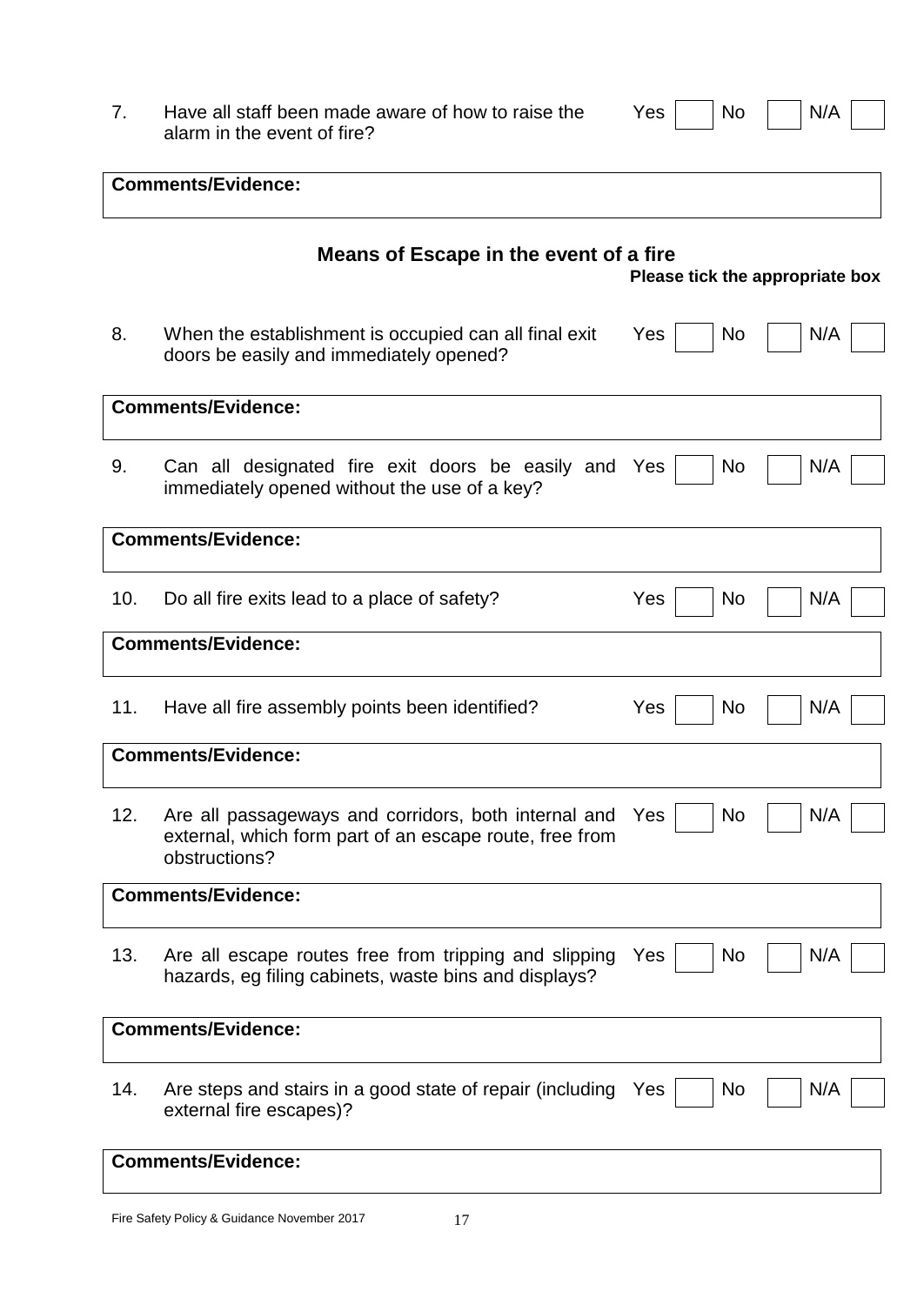| Have all staff been made aware of how to raise the |
|----------------------------------------------------|
| alarm in the event of fire?                        |

 $Yes \frown No \frown N/A$ 

|     | <b>Comments/Evidence:</b>                                                                                                        |                                 |
|-----|----------------------------------------------------------------------------------------------------------------------------------|---------------------------------|
|     | Means of Escape in the event of a fire                                                                                           | Please tick the appropriate box |
| 8.  | When the establishment is occupied can all final exit<br>doors be easily and immediately opened?                                 | Yes<br>N/A<br>No                |
|     | <b>Comments/Evidence:</b>                                                                                                        |                                 |
| 9.  | Can all designated fire exit doors be easily and Yes<br>immediately opened without the use of a key?                             | N/A<br>No                       |
|     | <b>Comments/Evidence:</b>                                                                                                        |                                 |
| 10. | Do all fire exits lead to a place of safety?                                                                                     | Yes<br>N/A<br><b>No</b>         |
|     | <b>Comments/Evidence:</b>                                                                                                        |                                 |
| 11. | Have all fire assembly points been identified?                                                                                   | Yes<br>N/A<br>No                |
|     | <b>Comments/Evidence:</b>                                                                                                        |                                 |
| 12. | Are all passageways and corridors, both internal and<br>external, which form part of an escape route, free from<br>obstructions? | N/A<br>Yes<br><b>No</b>         |
|     | <b>Comments/Evidence:</b>                                                                                                        |                                 |
| 13. | Are all escape routes free from tripping and slipping<br>hazards, eg filing cabinets, waste bins and displays?                   | N/A<br>Yes<br>No                |
|     | <b>Comments/Evidence:</b>                                                                                                        |                                 |
| 14. | Are steps and stairs in a good state of repair (including<br>external fire escapes)?                                             | N/A<br>No<br>Yes                |
|     | <b>Comments/Evidence:</b>                                                                                                        |                                 |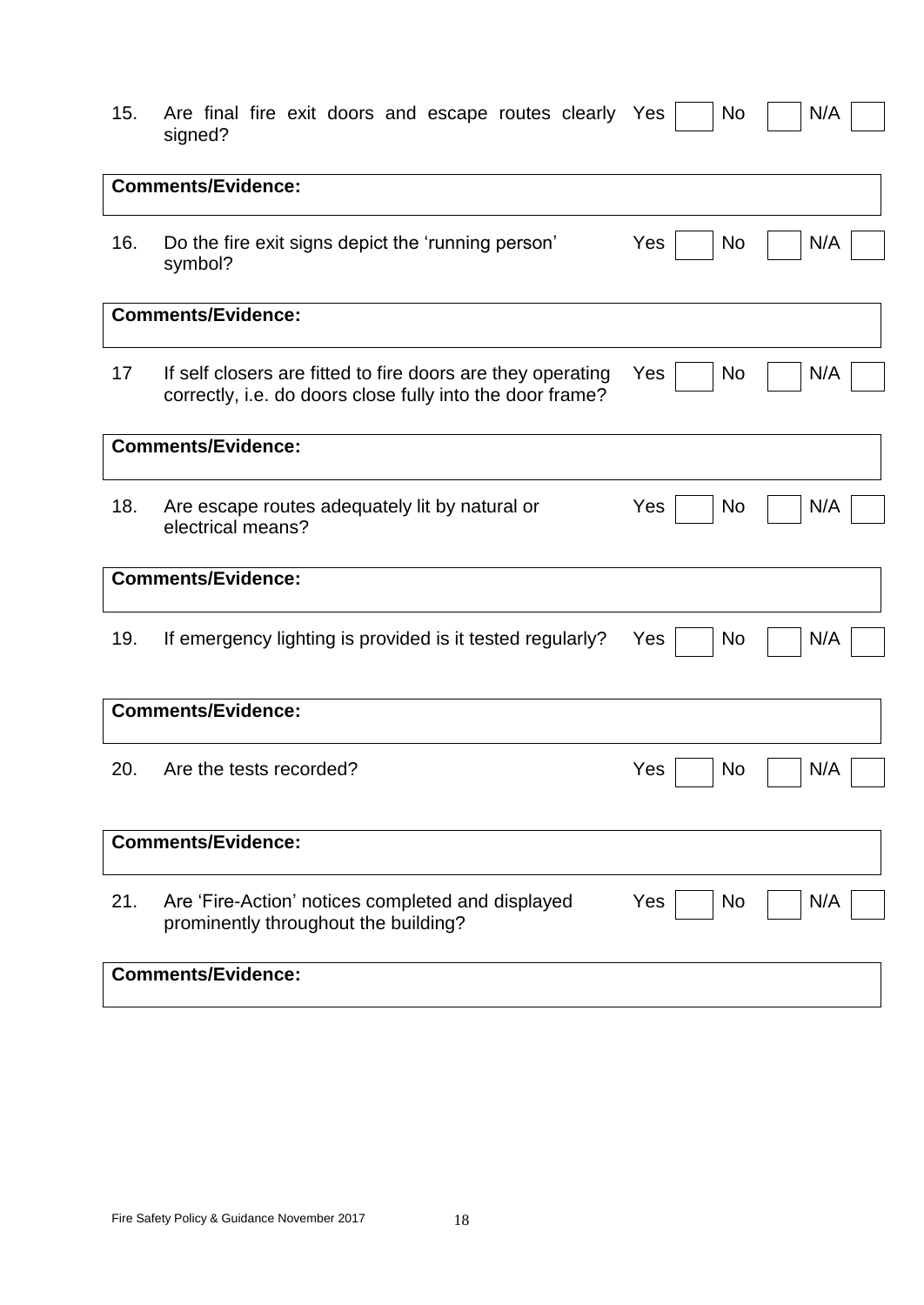|         |  |  | 15. Are final fire exit doors and escape routes clearly Yes No N/A |  |  |  |  |
|---------|--|--|--------------------------------------------------------------------|--|--|--|--|
| signed? |  |  |                                                                    |  |  |  |  |

|     | <b>Comments/Evidence:</b>                                                                                                |                  |     |
|-----|--------------------------------------------------------------------------------------------------------------------------|------------------|-----|
| 16. | Do the fire exit signs depict the 'running person'<br>symbol?                                                            | Yes<br>No        | N/A |
|     | <b>Comments/Evidence:</b>                                                                                                |                  |     |
| 17  | If self closers are fitted to fire doors are they operating<br>correctly, i.e. do doors close fully into the door frame? | Yes<br>No        | N/A |
|     | <b>Comments/Evidence:</b>                                                                                                |                  |     |
| 18. | Are escape routes adequately lit by natural or<br>electrical means?                                                      | Yes<br>No.       | N/A |
|     | <b>Comments/Evidence:</b>                                                                                                |                  |     |
| 19. | If emergency lighting is provided is it tested regularly?                                                                | No<br>Yes        | N/A |
|     | <b>Comments/Evidence:</b>                                                                                                |                  |     |
| 20. | Are the tests recorded?                                                                                                  | Yes<br><b>No</b> | N/A |
|     | <b>Comments/Evidence:</b>                                                                                                |                  |     |
| 21. | Are 'Fire-Action' notices completed and displayed<br>prominently throughout the building?                                | Yes<br>No.       | N/A |
|     | <b>Comments/Evidence:</b>                                                                                                |                  |     |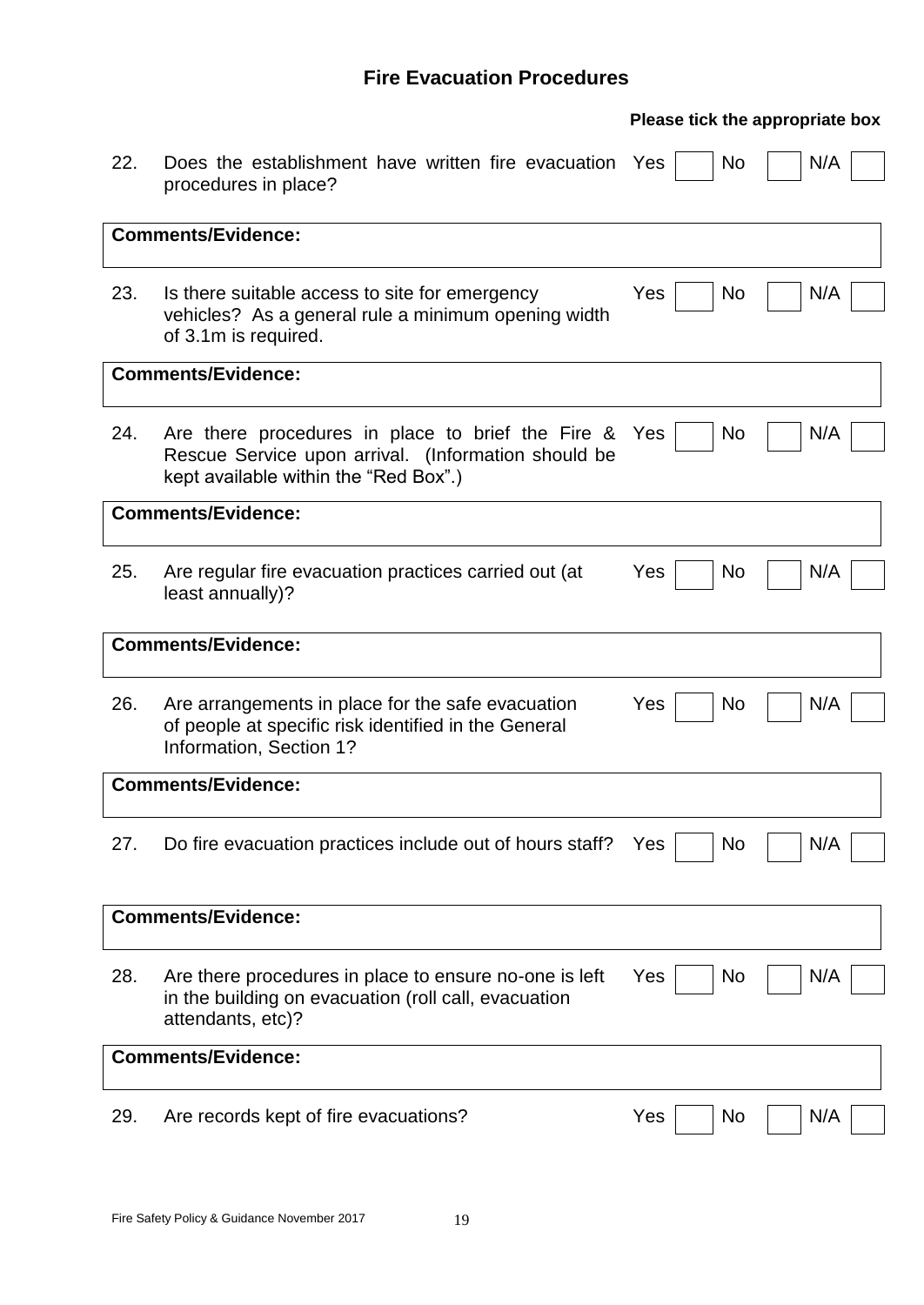# **Fire Evacuation Procedures**

|     |                                                                                                                                                   | Please tick the appropriate box |
|-----|---------------------------------------------------------------------------------------------------------------------------------------------------|---------------------------------|
| 22. | Does the establishment have written fire evacuation Yes<br>procedures in place?                                                                   | N/A<br>N <sub>o</sub>           |
|     | <b>Comments/Evidence:</b>                                                                                                                         |                                 |
|     |                                                                                                                                                   |                                 |
| 23. | Is there suitable access to site for emergency<br>vehicles? As a general rule a minimum opening width<br>of 3.1m is required.                     | <b>No</b><br>N/A<br><b>Yes</b>  |
|     | <b>Comments/Evidence:</b>                                                                                                                         |                                 |
| 24. | Are there procedures in place to brief the Fire &<br>Rescue Service upon arrival. (Information should be<br>kept available within the "Red Box".) | No<br>N/A<br>Yes                |
|     | <b>Comments/Evidence:</b>                                                                                                                         |                                 |
| 25. | Are regular fire evacuation practices carried out (at<br>least annually)?                                                                         | N/A<br><b>No</b><br>Yes         |
|     | <b>Comments/Evidence:</b>                                                                                                                         |                                 |
| 26. | Are arrangements in place for the safe evacuation<br>of people at specific risk identified in the General<br>Information, Section 1?              | N/A<br>Yes<br><b>No</b>         |
|     | <b>Comments/Evidence:</b>                                                                                                                         |                                 |
| 27. | Do fire evacuation practices include out of hours staff?                                                                                          | N/A<br>No<br>Yes                |
|     | <b>Comments/Evidence:</b>                                                                                                                         |                                 |
| 28. | Are there procedures in place to ensure no-one is left<br>in the building on evacuation (roll call, evacuation<br>attendants, etc)?               | N/A<br>Yes<br>No                |
|     | <b>Comments/Evidence:</b>                                                                                                                         |                                 |
| 29. | Are records kept of fire evacuations?                                                                                                             | Yes<br>No<br>N/A                |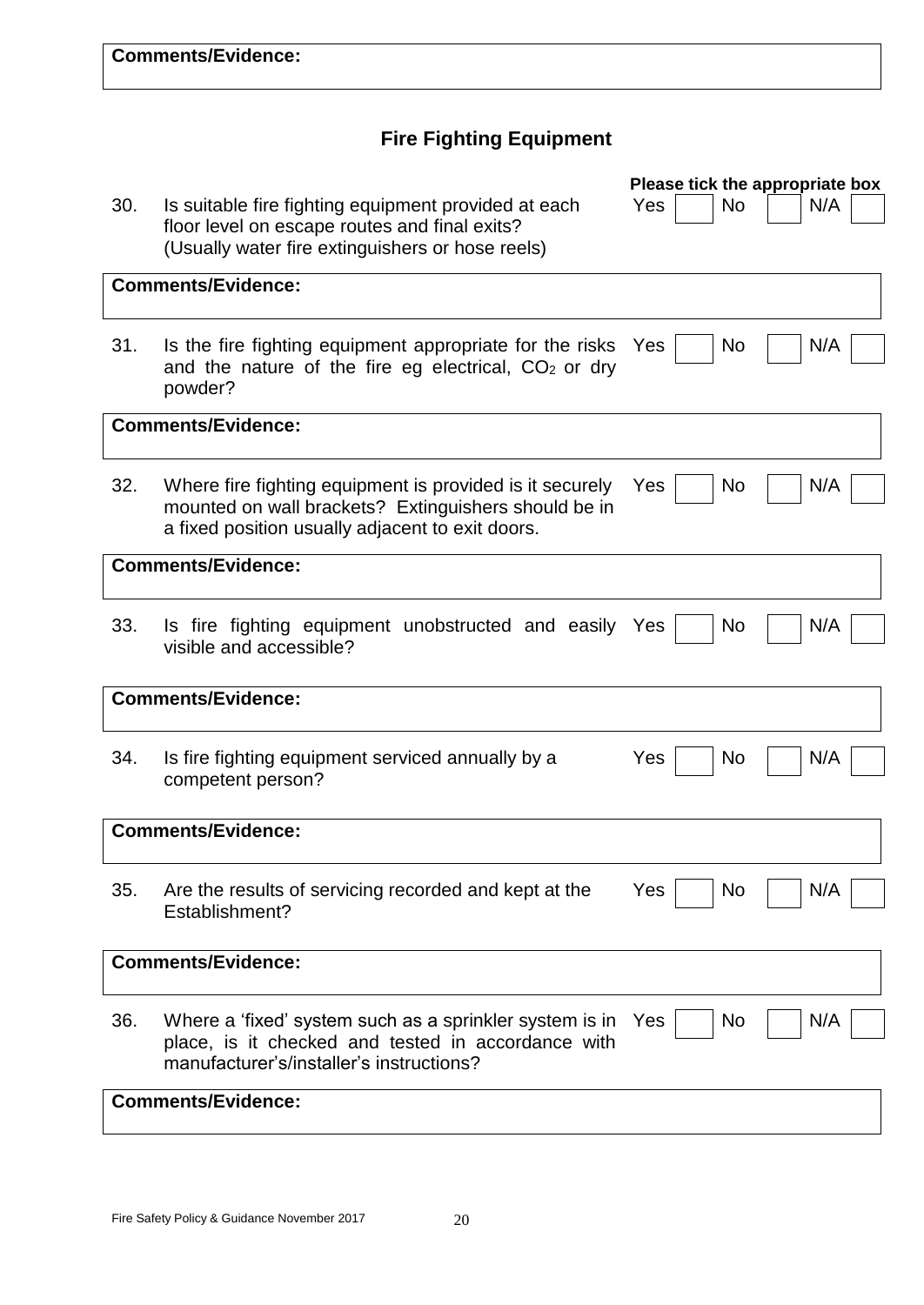# **Fire Fighting Equipment**

|     |                                                                                                                  | Please tick the appropriate box |  |  |  |  |
|-----|------------------------------------------------------------------------------------------------------------------|---------------------------------|--|--|--|--|
| 30. | Is suitable fire fighting equipment provided at each                                                             | <b>No</b><br>N/A<br>Yes         |  |  |  |  |
|     | floor level on escape routes and final exits?<br>(Usually water fire extinguishers or hose reels)                |                                 |  |  |  |  |
|     |                                                                                                                  |                                 |  |  |  |  |
|     | <b>Comments/Evidence:</b>                                                                                        |                                 |  |  |  |  |
|     |                                                                                                                  |                                 |  |  |  |  |
| 31. | Is the fire fighting equipment appropriate for the risks                                                         | No<br>N/A<br><b>Yes</b>         |  |  |  |  |
|     | and the nature of the fire eg electrical, $CO2$ or dry                                                           |                                 |  |  |  |  |
|     | powder?                                                                                                          |                                 |  |  |  |  |
|     | <b>Comments/Evidence:</b>                                                                                        |                                 |  |  |  |  |
| 32. |                                                                                                                  |                                 |  |  |  |  |
|     | Where fire fighting equipment is provided is it securely<br>mounted on wall brackets? Extinguishers should be in | Yes<br><b>No</b><br>N/A         |  |  |  |  |
|     | a fixed position usually adjacent to exit doors.                                                                 |                                 |  |  |  |  |
|     | <b>Comments/Evidence:</b>                                                                                        |                                 |  |  |  |  |
|     |                                                                                                                  |                                 |  |  |  |  |
| 33. | Is fire fighting equipment unobstructed and easily                                                               | <b>No</b><br>N/A<br>Yes         |  |  |  |  |
|     | visible and accessible?                                                                                          |                                 |  |  |  |  |
|     |                                                                                                                  |                                 |  |  |  |  |
|     | <b>Comments/Evidence:</b>                                                                                        |                                 |  |  |  |  |
|     |                                                                                                                  |                                 |  |  |  |  |
| 34. | Is fire fighting equipment serviced annually by a                                                                | Yes<br>N/A<br><b>No</b>         |  |  |  |  |
|     | competent person?                                                                                                |                                 |  |  |  |  |
|     |                                                                                                                  |                                 |  |  |  |  |
|     | <b>Comments/Evidence:</b>                                                                                        |                                 |  |  |  |  |
| 35. | Are the results of servicing recorded and kept at the                                                            | Yes<br>No<br>N/A                |  |  |  |  |
|     | Establishment?                                                                                                   |                                 |  |  |  |  |
|     |                                                                                                                  |                                 |  |  |  |  |
|     | <b>Comments/Evidence:</b>                                                                                        |                                 |  |  |  |  |
|     |                                                                                                                  |                                 |  |  |  |  |
| 36. | Where a 'fixed' system such as a sprinkler system is in<br>place, is it checked and tested in accordance with    | N/A<br>Yes<br><b>No</b>         |  |  |  |  |
|     | manufacturer's/installer's instructions?                                                                         |                                 |  |  |  |  |
|     | <b>Comments/Evidence:</b>                                                                                        |                                 |  |  |  |  |
|     |                                                                                                                  |                                 |  |  |  |  |
|     |                                                                                                                  |                                 |  |  |  |  |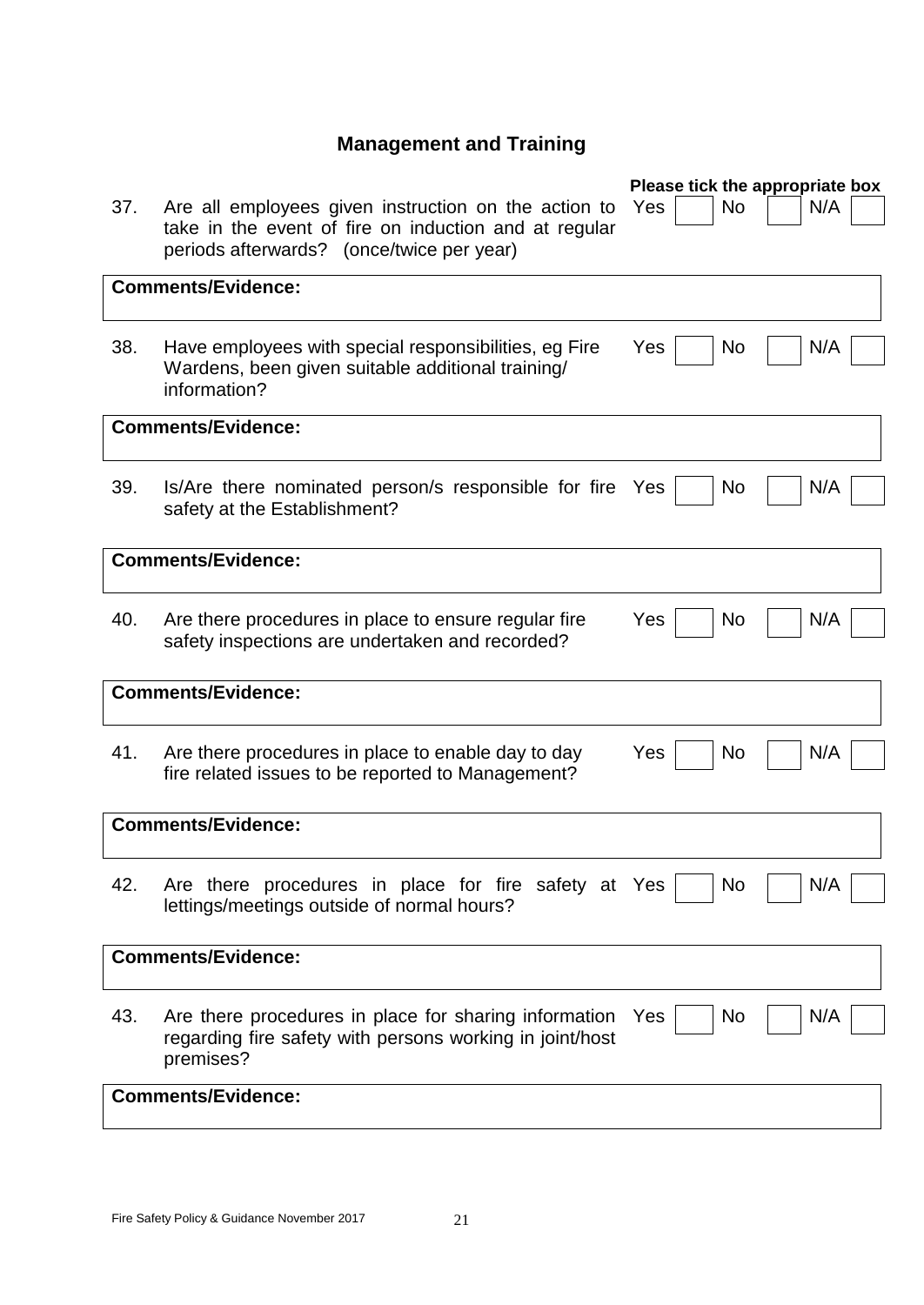# **Management and Training**

|     |                                                                                                                                                            | Please tick the appropriate box |
|-----|------------------------------------------------------------------------------------------------------------------------------------------------------------|---------------------------------|
| 37. | Are all employees given instruction on the action to<br>take in the event of fire on induction and at regular<br>periods afterwards? (once/twice per year) | No.<br>N/A<br>Yes               |
|     | <b>Comments/Evidence:</b>                                                                                                                                  |                                 |
|     |                                                                                                                                                            |                                 |
| 38. | Have employees with special responsibilities, eg Fire<br>Wardens, been given suitable additional training/<br>information?                                 | N/A<br>Yes<br>No                |
|     | <b>Comments/Evidence:</b>                                                                                                                                  |                                 |
|     |                                                                                                                                                            |                                 |
| 39. | Is/Are there nominated person/s responsible for fire<br>safety at the Establishment?                                                                       | N/A<br>No<br>Yes                |
|     | <b>Comments/Evidence:</b>                                                                                                                                  |                                 |
| 40. | Are there procedures in place to ensure regular fire<br>safety inspections are undertaken and recorded?                                                    | Yes<br>N/A<br>No                |
|     | <b>Comments/Evidence:</b>                                                                                                                                  |                                 |
| 41. | Are there procedures in place to enable day to day<br>fire related issues to be reported to Management?                                                    | Yes<br>No<br>N/A                |
|     | <b>Comments/Evidence:</b>                                                                                                                                  |                                 |
| 42. | Are there procedures in place for fire safety at Yes<br>lettings/meetings outside of normal hours?                                                         | N/A<br>No                       |
|     | <b>Comments/Evidence:</b>                                                                                                                                  |                                 |
| 43. | Are there procedures in place for sharing information<br>regarding fire safety with persons working in joint/host<br>premises?                             | No<br>N/A<br>Yes                |
|     | <b>Comments/Evidence:</b>                                                                                                                                  |                                 |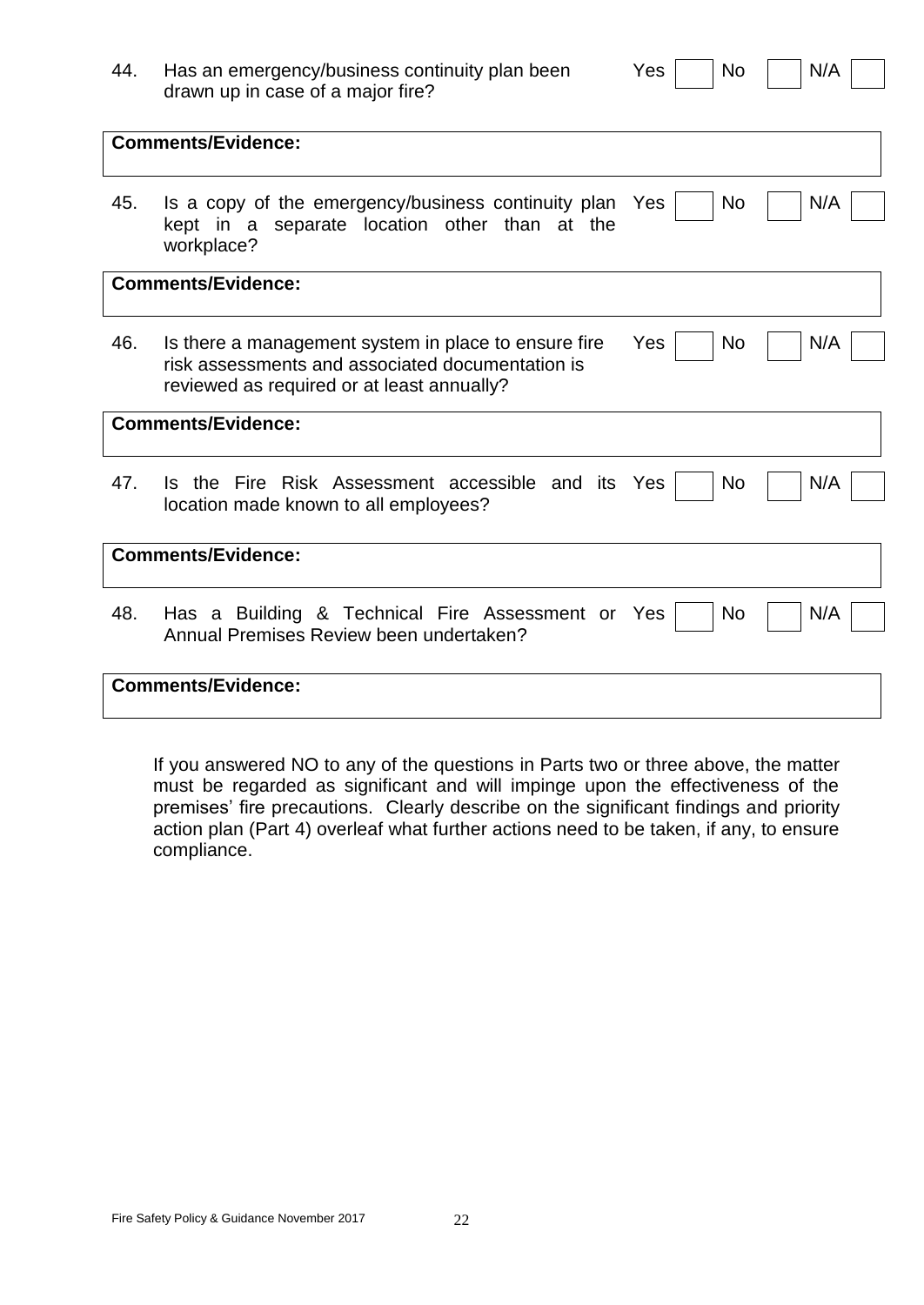| 44. | Has an emergency/business continuity plan been<br>drawn up in case of a major fire?                                                                    | Yes<br><b>No</b>      | N/A |
|-----|--------------------------------------------------------------------------------------------------------------------------------------------------------|-----------------------|-----|
|     | <b>Comments/Evidence:</b>                                                                                                                              |                       |     |
| 45. | Is a copy of the emergency/business continuity plan<br>kept in a separate location other than at the<br>workplace?                                     | N <sub>o</sub><br>Yes | N/A |
|     | <b>Comments/Evidence:</b>                                                                                                                              |                       |     |
| 46. | Is there a management system in place to ensure fire<br>risk assessments and associated documentation is<br>reviewed as required or at least annually? | Yes<br><b>No</b>      | N/A |
|     | <b>Comments/Evidence:</b>                                                                                                                              |                       |     |
| 47. | Is the Fire Risk Assessment accessible and its<br>location made known to all employees?                                                                | Yes<br>No             | N/A |
|     | <b>Comments/Evidence:</b>                                                                                                                              |                       |     |
| 48. | Has a Building & Technical Fire Assessment or Yes<br>Annual Premises Review been undertaken?                                                           | <b>No</b>             | N/A |
|     | <b>Comments/Evidence:</b>                                                                                                                              |                       |     |

If you answered NO to any of the questions in Parts two or three above, the matter must be regarded as significant and will impinge upon the effectiveness of the premises' fire precautions. Clearly describe on the significant findings and priority action plan (Part 4) overleaf what further actions need to be taken, if any, to ensure compliance.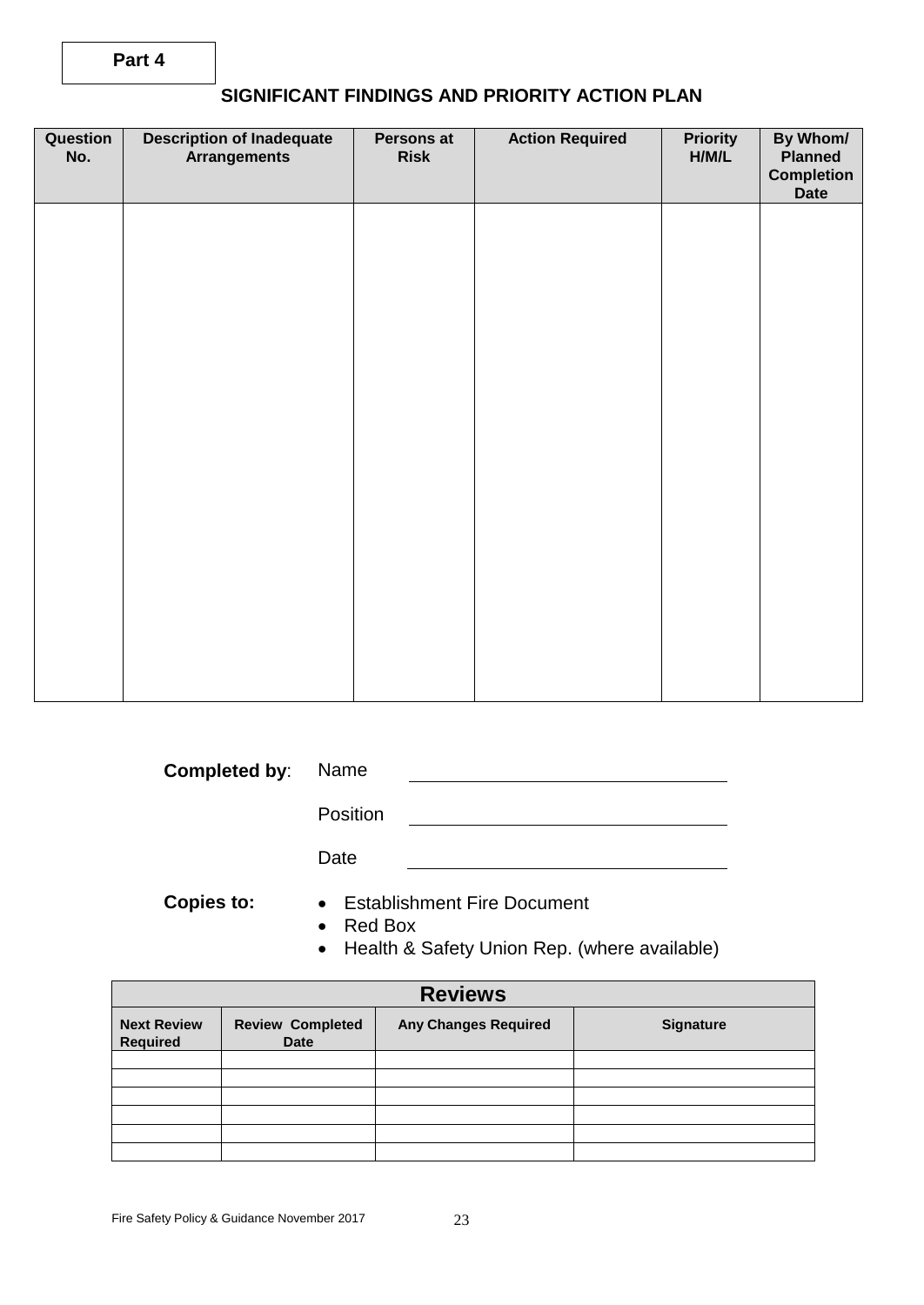| Question<br>No. | <b>Description of Inadequate</b><br><b>Arrangements</b> | Persons at<br><b>Risk</b> | <b>Action Required</b> | <b>Priority</b><br>H/M/L | By Whom/<br><b>Planned</b><br><b>Completion</b><br><b>Date</b> |
|-----------------|---------------------------------------------------------|---------------------------|------------------------|--------------------------|----------------------------------------------------------------|
|                 |                                                         |                           |                        |                          |                                                                |
|                 |                                                         |                           |                        |                          |                                                                |
|                 |                                                         |                           |                        |                          |                                                                |
|                 |                                                         |                           |                        |                          |                                                                |
|                 |                                                         |                           |                        |                          |                                                                |
|                 |                                                         |                           |                        |                          |                                                                |
|                 |                                                         |                           |                        |                          |                                                                |

| <b>Completed by: Name</b> |  |
|---------------------------|--|
|                           |  |

Position 

Date

- **Copies to:** Establishment Fire Document
	- Red Box
	- Health & Safety Union Rep. (where available)

| <b>Reviews</b>                        |                                 |                             |                  |  |  |  |
|---------------------------------------|---------------------------------|-----------------------------|------------------|--|--|--|
| <b>Next Review</b><br><b>Required</b> | <b>Review Completed</b><br>Date | <b>Any Changes Required</b> | <b>Signature</b> |  |  |  |
|                                       |                                 |                             |                  |  |  |  |
|                                       |                                 |                             |                  |  |  |  |
|                                       |                                 |                             |                  |  |  |  |
|                                       |                                 |                             |                  |  |  |  |
|                                       |                                 |                             |                  |  |  |  |
|                                       |                                 |                             |                  |  |  |  |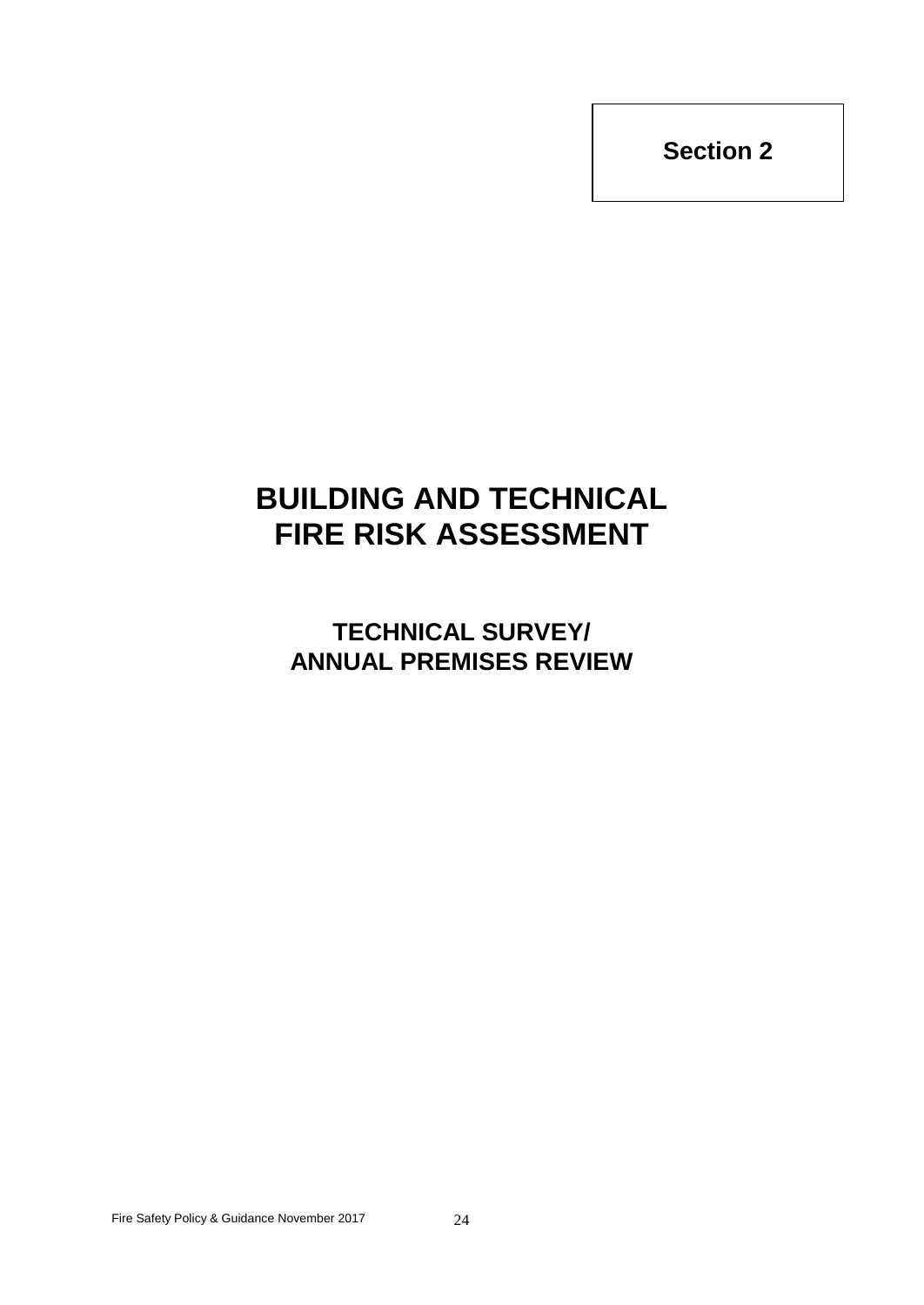# **BUILDING AND TECHNICAL FIRE RISK ASSESSMENT**

**TECHNICAL SURVEY/ ANNUAL PREMISES REVIEW**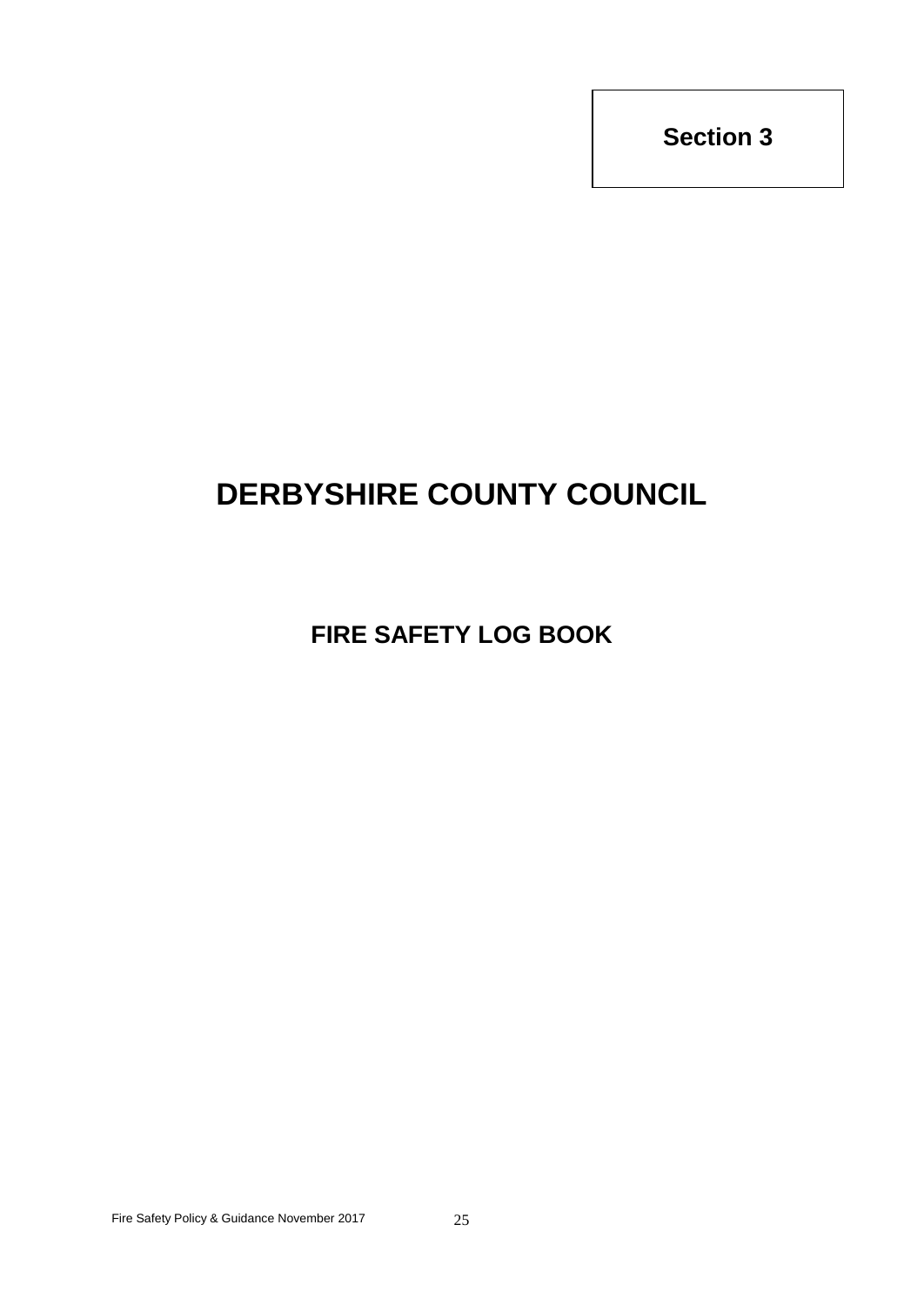# **DERBYSHIRE COUNTY COUNCIL**

**FIRE SAFETY LOG BOOK**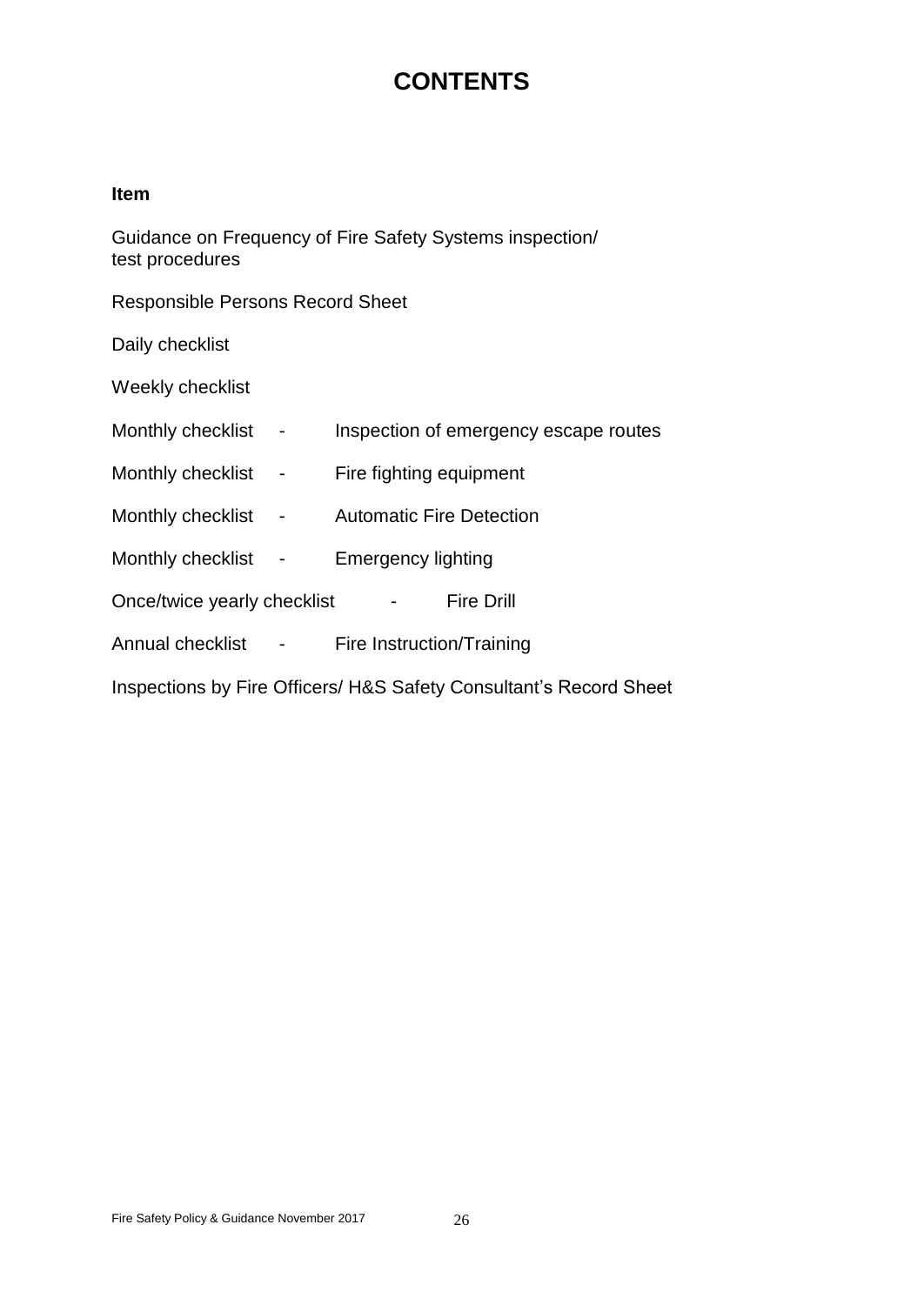# **CONTENTS**

#### **Item**

Guidance on Frequency of Fire Safety Systems inspection/ test procedures

Responsible Persons Record Sheet

Daily checklist

Weekly checklist

| Monthly checklist |  |  |  | Inspection of emergency escape routes |
|-------------------|--|--|--|---------------------------------------|
|-------------------|--|--|--|---------------------------------------|

- Monthly checklist Fire fighting equipment
- Monthly checklist Automatic Fire Detection
- Monthly checklist Emergency lighting

Once/twice yearly checklist - Fire Drill

Annual checklist - Fire Instruction/Training

Inspections by Fire Officers/ H&S Safety Consultant's Record Sheet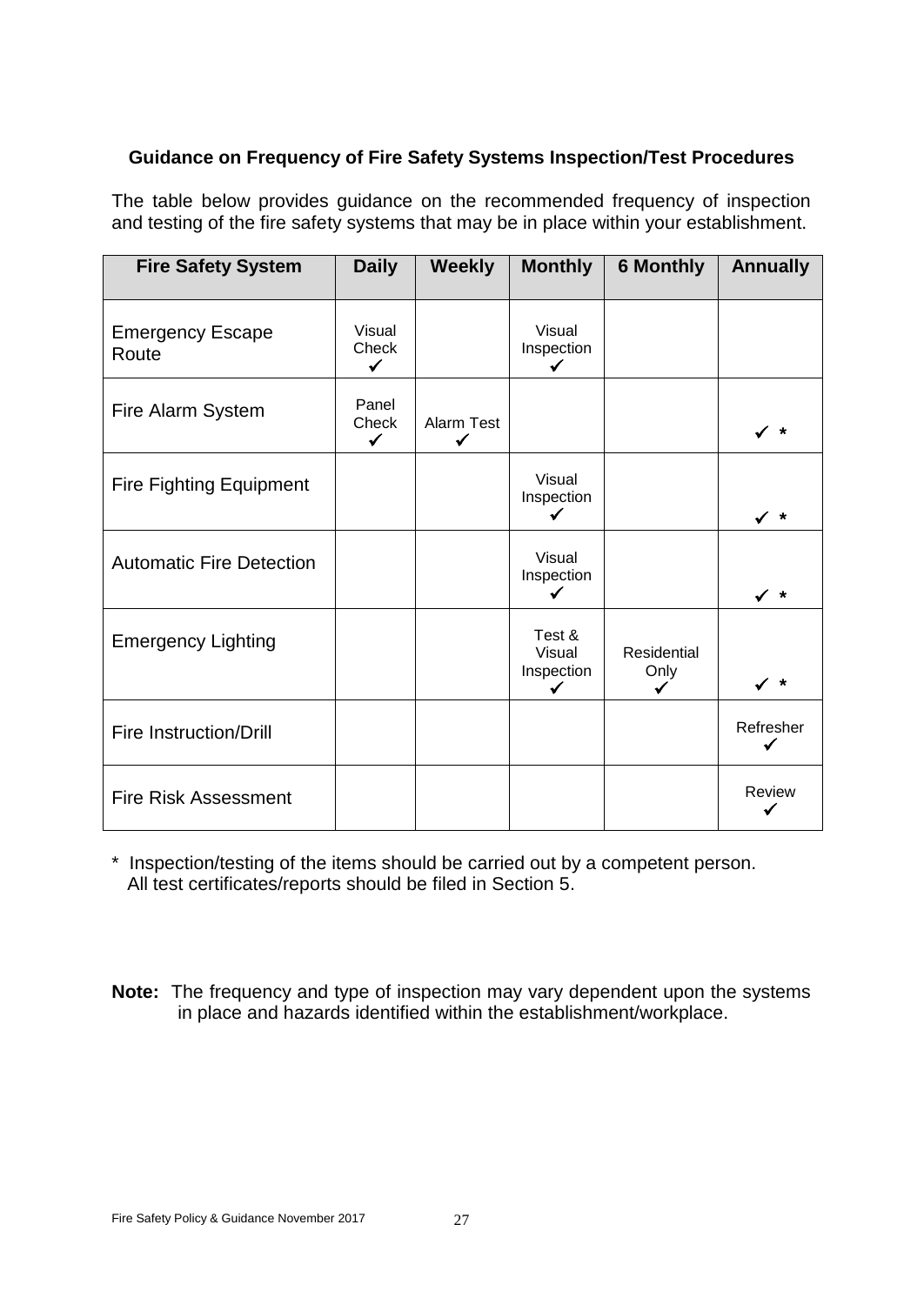### **Guidance on Frequency of Fire Safety Systems Inspection/Test Procedures**

The table below provides guidance on the recommended frequency of inspection and testing of the fire safety systems that may be in place within your establishment.

| <b>Fire Safety System</b>        | <b>Daily</b>                    | <b>Weekly</b>   | <b>Monthly</b>                      | <b>6 Monthly</b>           | <b>Annually</b> |
|----------------------------------|---------------------------------|-----------------|-------------------------------------|----------------------------|-----------------|
| <b>Emergency Escape</b><br>Route | Visual<br>Check<br>$\checkmark$ |                 | Visual<br>Inspection<br>✓           |                            |                 |
| Fire Alarm System                | Panel<br>Check<br>$\checkmark$  | Alarm Test<br>✓ |                                     |                            | ∕ *             |
| <b>Fire Fighting Equipment</b>   |                                 |                 | Visual<br>Inspection                |                            | ✓∗              |
| <b>Automatic Fire Detection</b>  |                                 |                 | Visual<br>Inspection                |                            | $\checkmark$ *  |
| <b>Emergency Lighting</b>        |                                 |                 | Test &<br>Visual<br>Inspection<br>✓ | <b>Residential</b><br>Only | $\star$         |
| <b>Fire Instruction/Drill</b>    |                                 |                 |                                     |                            | Refresher       |
| <b>Fire Risk Assessment</b>      |                                 |                 |                                     |                            | Review          |

\* Inspection/testing of the items should be carried out by a competent person. All test certificates/reports should be filed in Section 5.

**Note:** The frequency and type of inspection may vary dependent upon the systems in place and hazards identified within the establishment/workplace.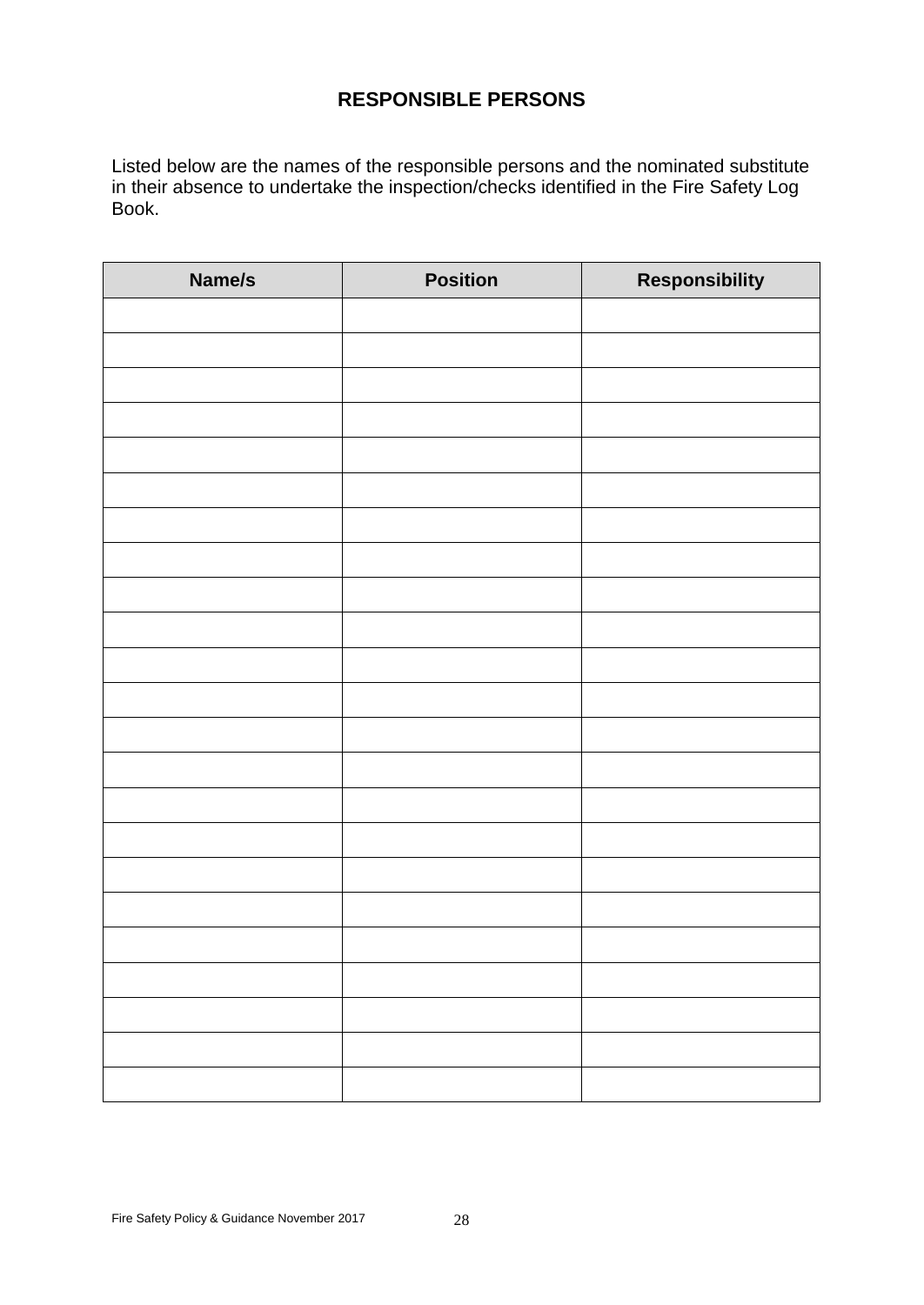# **RESPONSIBLE PERSONS**

Listed below are the names of the responsible persons and the nominated substitute in their absence to undertake the inspection/checks identified in the Fire Safety Log Book.

| Name/s | <b>Position</b> | Responsibility |
|--------|-----------------|----------------|
|        |                 |                |
|        |                 |                |
|        |                 |                |
|        |                 |                |
|        |                 |                |
|        |                 |                |
|        |                 |                |
|        |                 |                |
|        |                 |                |
|        |                 |                |
|        |                 |                |
|        |                 |                |
|        |                 |                |
|        |                 |                |
|        |                 |                |
|        |                 |                |
|        |                 |                |
|        |                 |                |
|        |                 |                |
|        |                 |                |
|        |                 |                |
|        |                 |                |
|        |                 |                |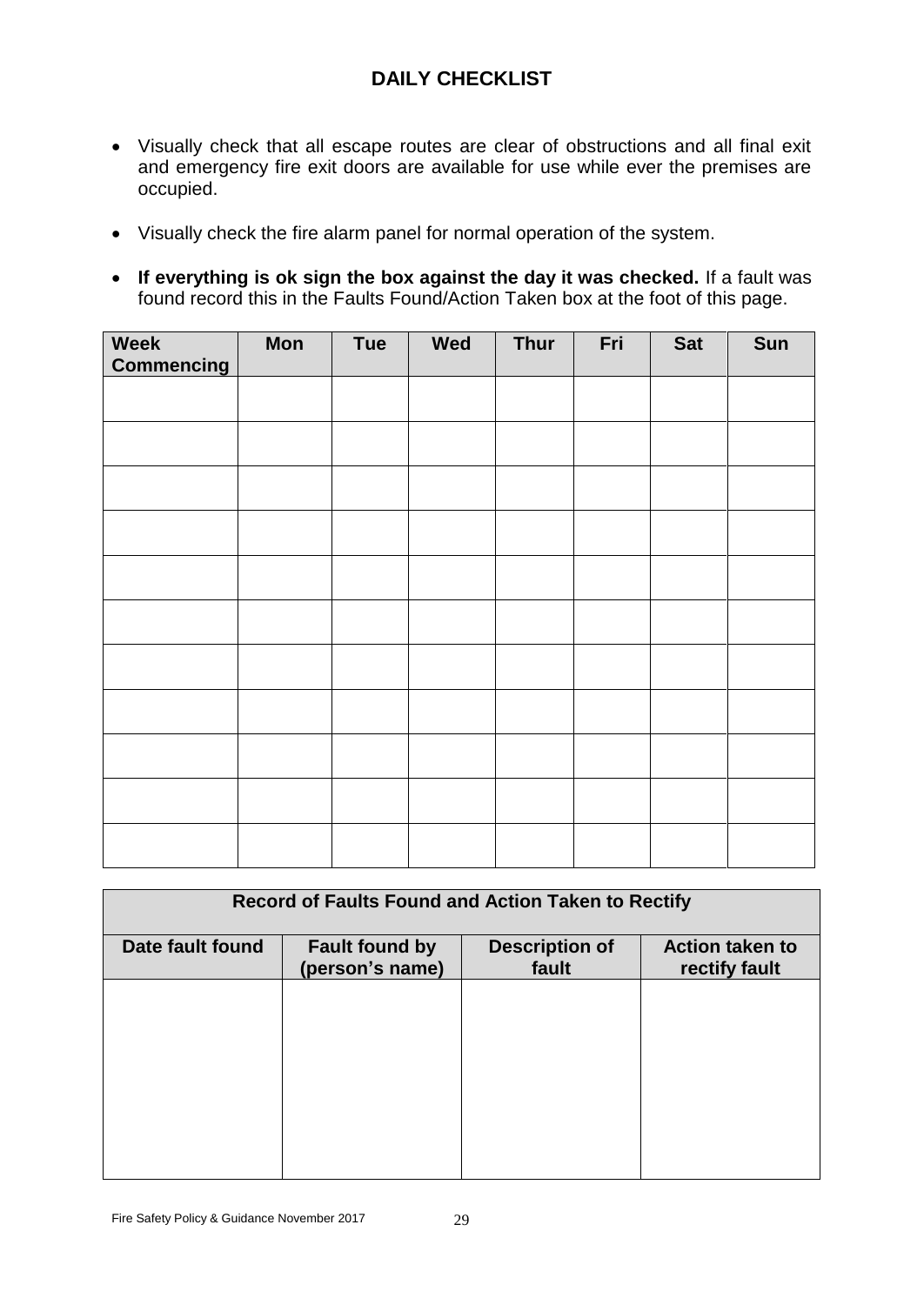# **DAILY CHECKLIST**

- Visually check that all escape routes are clear of obstructions and all final exit and emergency fire exit doors are available for use while ever the premises are occupied.
- Visually check the fire alarm panel for normal operation of the system.
- **If everything is ok sign the box against the day it was checked.** If a fault was found record this in the Faults Found/Action Taken box at the foot of this page.

| Week<br><b>Commencing</b> | <b>Mon</b> | Tue | Wed | Thur | Fri | <b>Sat</b> | Sun |
|---------------------------|------------|-----|-----|------|-----|------------|-----|
|                           |            |     |     |      |     |            |     |
|                           |            |     |     |      |     |            |     |
|                           |            |     |     |      |     |            |     |
|                           |            |     |     |      |     |            |     |
|                           |            |     |     |      |     |            |     |
|                           |            |     |     |      |     |            |     |
|                           |            |     |     |      |     |            |     |
|                           |            |     |     |      |     |            |     |
|                           |            |     |     |      |     |            |     |
|                           |            |     |     |      |     |            |     |
|                           |            |     |     |      |     |            |     |

| <b>Record of Faults Found and Action Taken to Rectify</b> |                                          |                                |                                         |  |
|-----------------------------------------------------------|------------------------------------------|--------------------------------|-----------------------------------------|--|
| Date fault found                                          | <b>Fault found by</b><br>(person's name) | <b>Description of</b><br>fault | <b>Action taken to</b><br>rectify fault |  |
|                                                           |                                          |                                |                                         |  |
|                                                           |                                          |                                |                                         |  |
|                                                           |                                          |                                |                                         |  |
|                                                           |                                          |                                |                                         |  |
|                                                           |                                          |                                |                                         |  |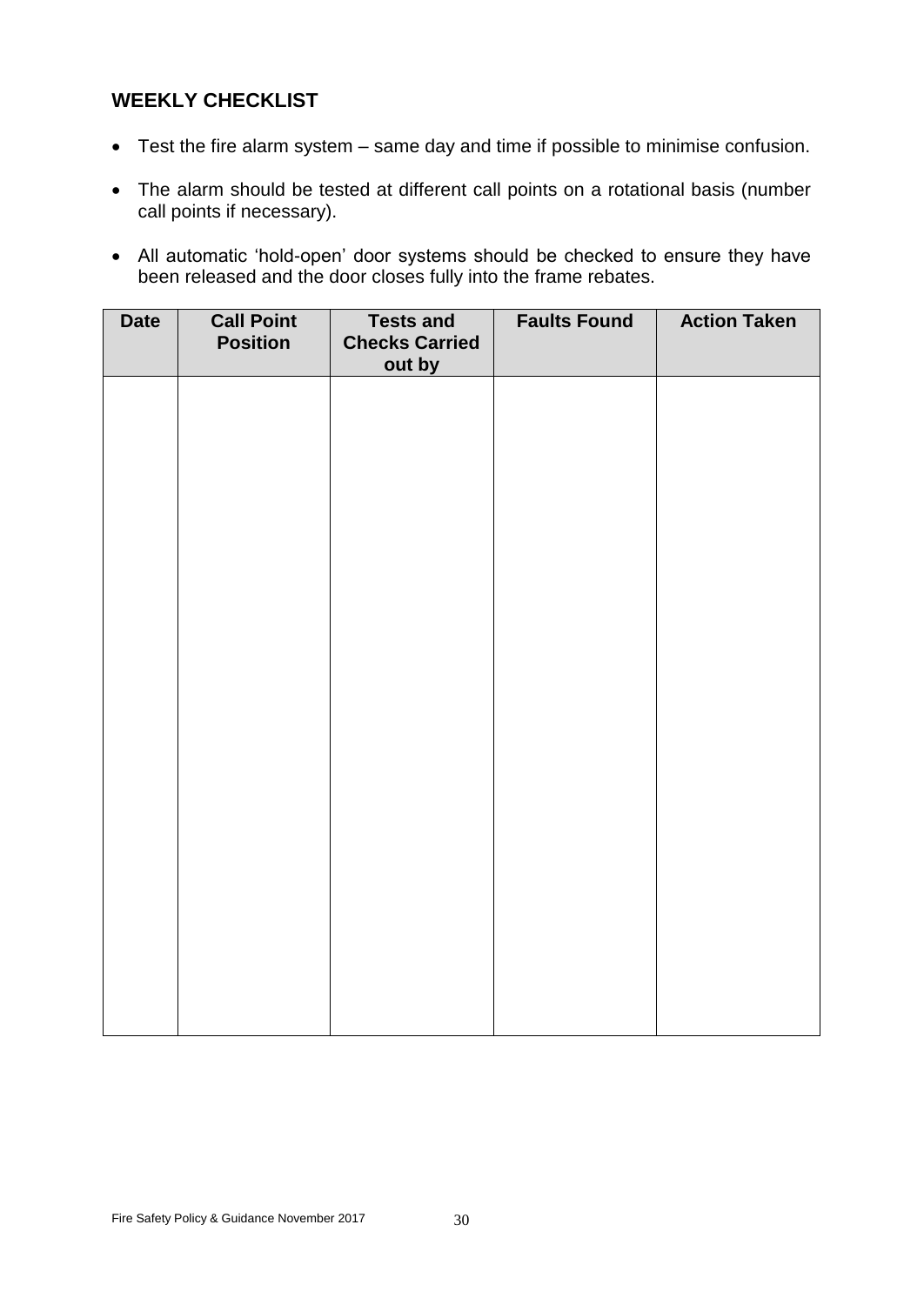# **WEEKLY CHECKLIST**

- Test the fire alarm system same day and time if possible to minimise confusion.
- The alarm should be tested at different call points on a rotational basis (number call points if necessary).
- All automatic 'hold-open' door systems should be checked to ensure they have been released and the door closes fully into the frame rebates.

| <b>Date</b> | <b>Call Point</b><br><b>Position</b> | <b>Tests and</b><br><b>Checks Carried</b><br>out by | <b>Faults Found</b> | <b>Action Taken</b> |
|-------------|--------------------------------------|-----------------------------------------------------|---------------------|---------------------|
|             |                                      |                                                     |                     |                     |
|             |                                      |                                                     |                     |                     |
|             |                                      |                                                     |                     |                     |
|             |                                      |                                                     |                     |                     |
|             |                                      |                                                     |                     |                     |
|             |                                      |                                                     |                     |                     |
|             |                                      |                                                     |                     |                     |
|             |                                      |                                                     |                     |                     |
|             |                                      |                                                     |                     |                     |
|             |                                      |                                                     |                     |                     |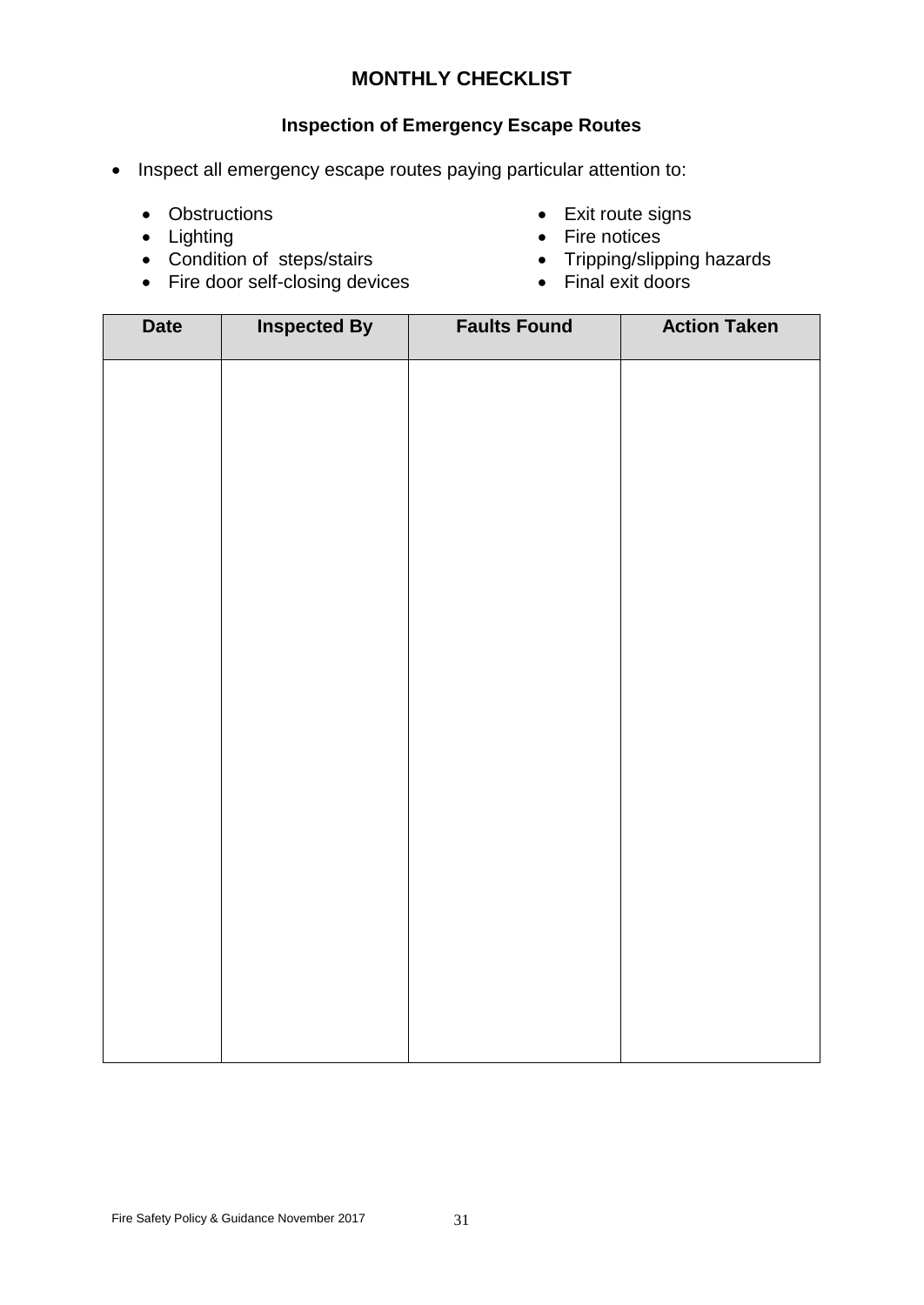### **Inspection of Emergency Escape Routes**

- Inspect all emergency escape routes paying particular attention to:
	-
	-
	- Condition of steps/stairs Tripping/slipping hazards
	- $\bullet$  Fire door self-closing devices
	- Obstructions Exit route signs
	- Lighting **•** Fire notices
		-
		-

| <b>Date</b> | <b>Inspected By</b> | <b>Faults Found</b> | <b>Action Taken</b> |
|-------------|---------------------|---------------------|---------------------|
|             |                     |                     |                     |
|             |                     |                     |                     |
|             |                     |                     |                     |
|             |                     |                     |                     |
|             |                     |                     |                     |
|             |                     |                     |                     |
|             |                     |                     |                     |
|             |                     |                     |                     |
|             |                     |                     |                     |
|             |                     |                     |                     |
|             |                     |                     |                     |
|             |                     |                     |                     |
|             |                     |                     |                     |
|             |                     |                     |                     |
|             |                     |                     |                     |
|             |                     |                     |                     |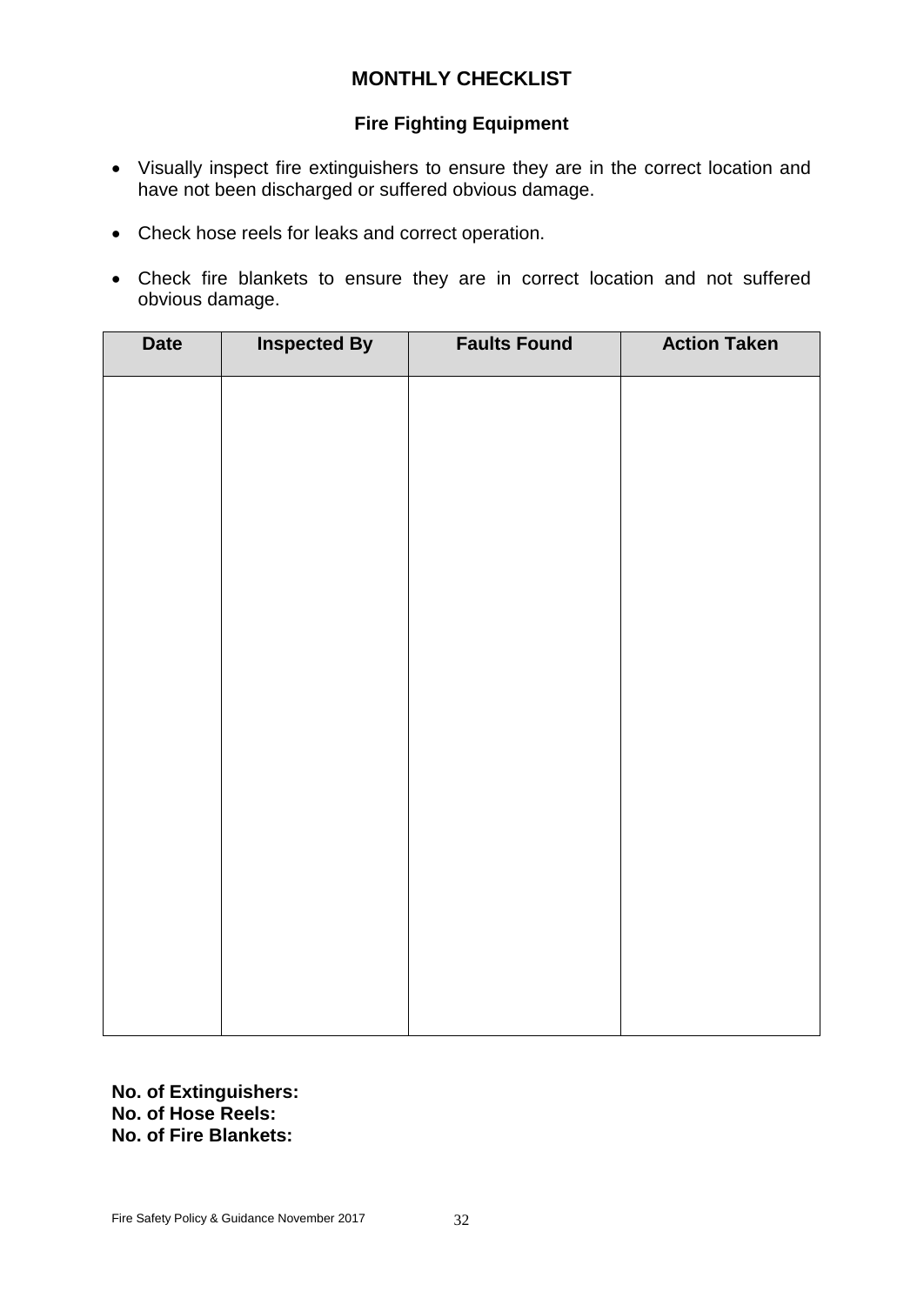### **Fire Fighting Equipment**

- Visually inspect fire extinguishers to ensure they are in the correct location and have not been discharged or suffered obvious damage.
- Check hose reels for leaks and correct operation.
- Check fire blankets to ensure they are in correct location and not suffered obvious damage.

| <b>Date</b> | <b>Inspected By</b> | <b>Faults Found</b> | <b>Action Taken</b> |
|-------------|---------------------|---------------------|---------------------|
|             |                     |                     |                     |
|             |                     |                     |                     |
|             |                     |                     |                     |
|             |                     |                     |                     |
|             |                     |                     |                     |
|             |                     |                     |                     |
|             |                     |                     |                     |
|             |                     |                     |                     |
|             |                     |                     |                     |
|             |                     |                     |                     |
|             |                     |                     |                     |
|             |                     |                     |                     |
|             |                     |                     |                     |
|             |                     |                     |                     |

**No. of Extinguishers: No. of Hose Reels: No. of Fire Blankets:**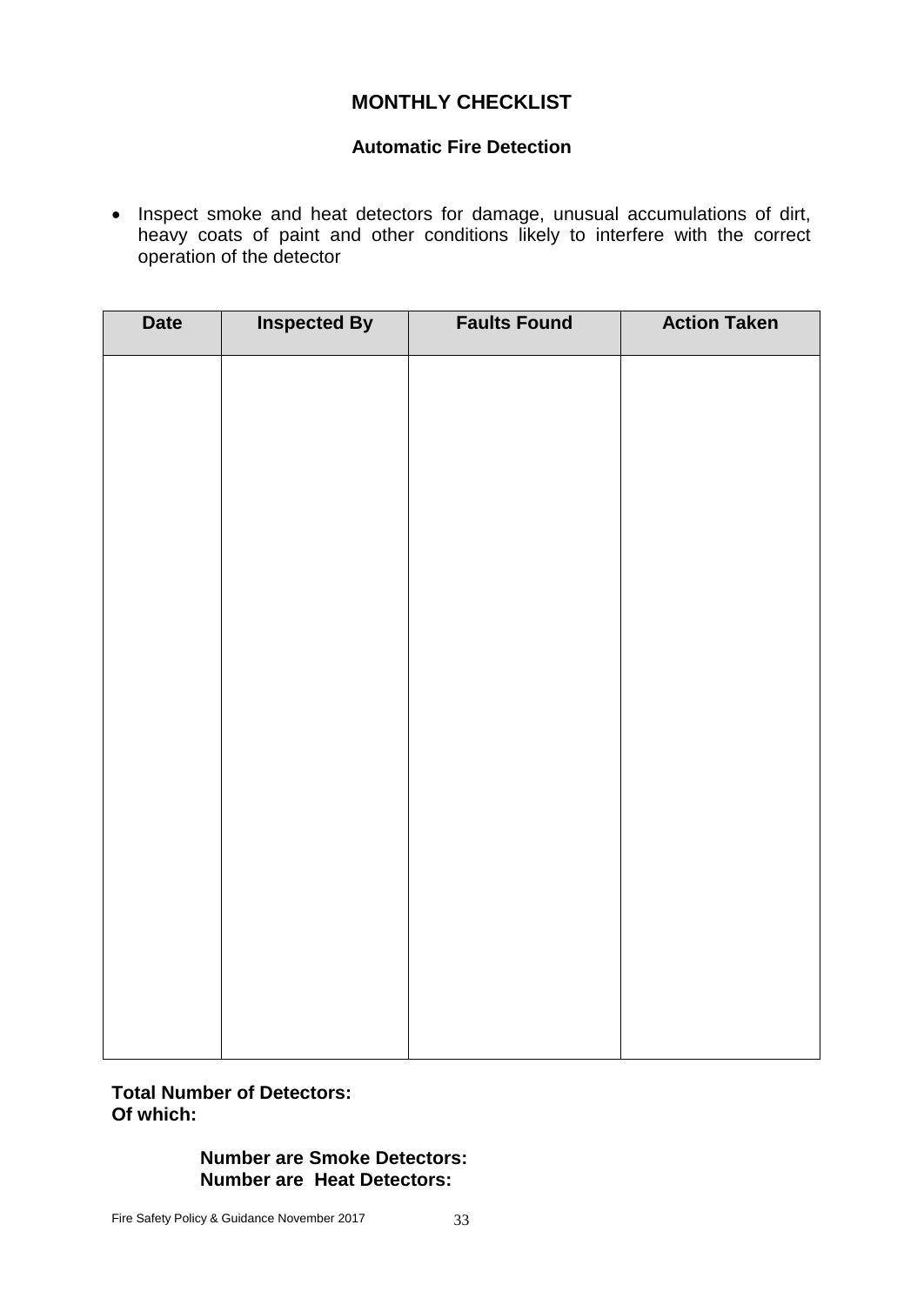### **Automatic Fire Detection**

• Inspect smoke and heat detectors for damage, unusual accumulations of dirt, heavy coats of paint and other conditions likely to interfere with the correct operation of the detector

| <b>Date</b> | <b>Inspected By</b> | <b>Faults Found</b> | <b>Action Taken</b> |
|-------------|---------------------|---------------------|---------------------|
|             |                     |                     |                     |
|             |                     |                     |                     |
|             |                     |                     |                     |
|             |                     |                     |                     |
|             |                     |                     |                     |
|             |                     |                     |                     |
|             |                     |                     |                     |
|             |                     |                     |                     |
|             |                     |                     |                     |
|             |                     |                     |                     |
|             |                     |                     |                     |
|             |                     |                     |                     |
|             |                     |                     |                     |
|             |                     |                     |                     |
|             |                     |                     |                     |
|             |                     |                     |                     |

#### **Total Number of Detectors: Of which:**

#### **Number are Smoke Detectors: Number are Heat Detectors:**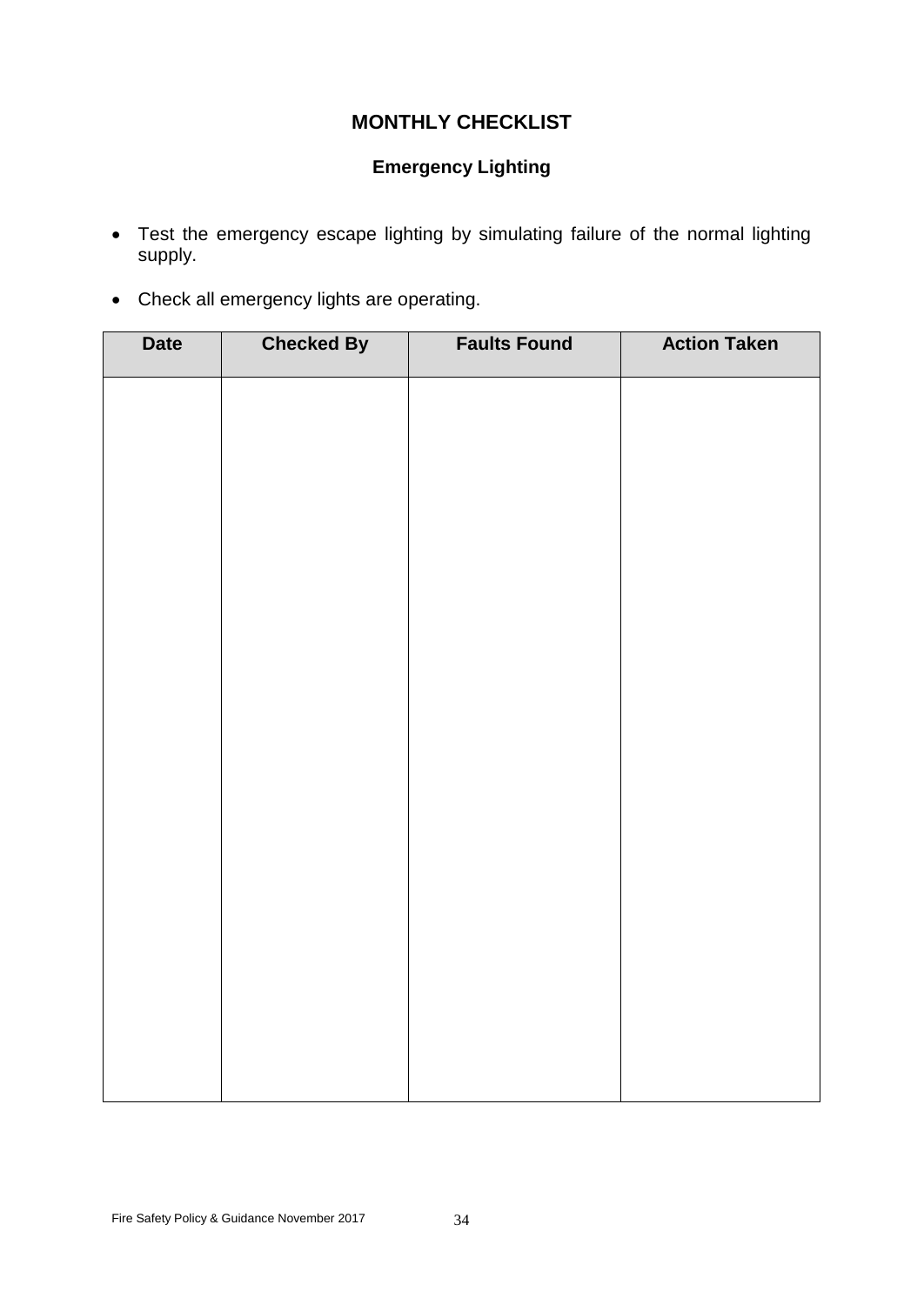# **Emergency Lighting**

- Test the emergency escape lighting by simulating failure of the normal lighting supply.
- Check all emergency lights are operating.

| <b>Date</b> | <b>Checked By</b> | <b>Faults Found</b> | <b>Action Taken</b> |
|-------------|-------------------|---------------------|---------------------|
|             |                   |                     |                     |
|             |                   |                     |                     |
|             |                   |                     |                     |
|             |                   |                     |                     |
|             |                   |                     |                     |
|             |                   |                     |                     |
|             |                   |                     |                     |
|             |                   |                     |                     |
|             |                   |                     |                     |
|             |                   |                     |                     |
|             |                   |                     |                     |
|             |                   |                     |                     |
|             |                   |                     |                     |
|             |                   |                     |                     |
|             |                   |                     |                     |
|             |                   |                     |                     |
|             |                   |                     |                     |
|             |                   |                     |                     |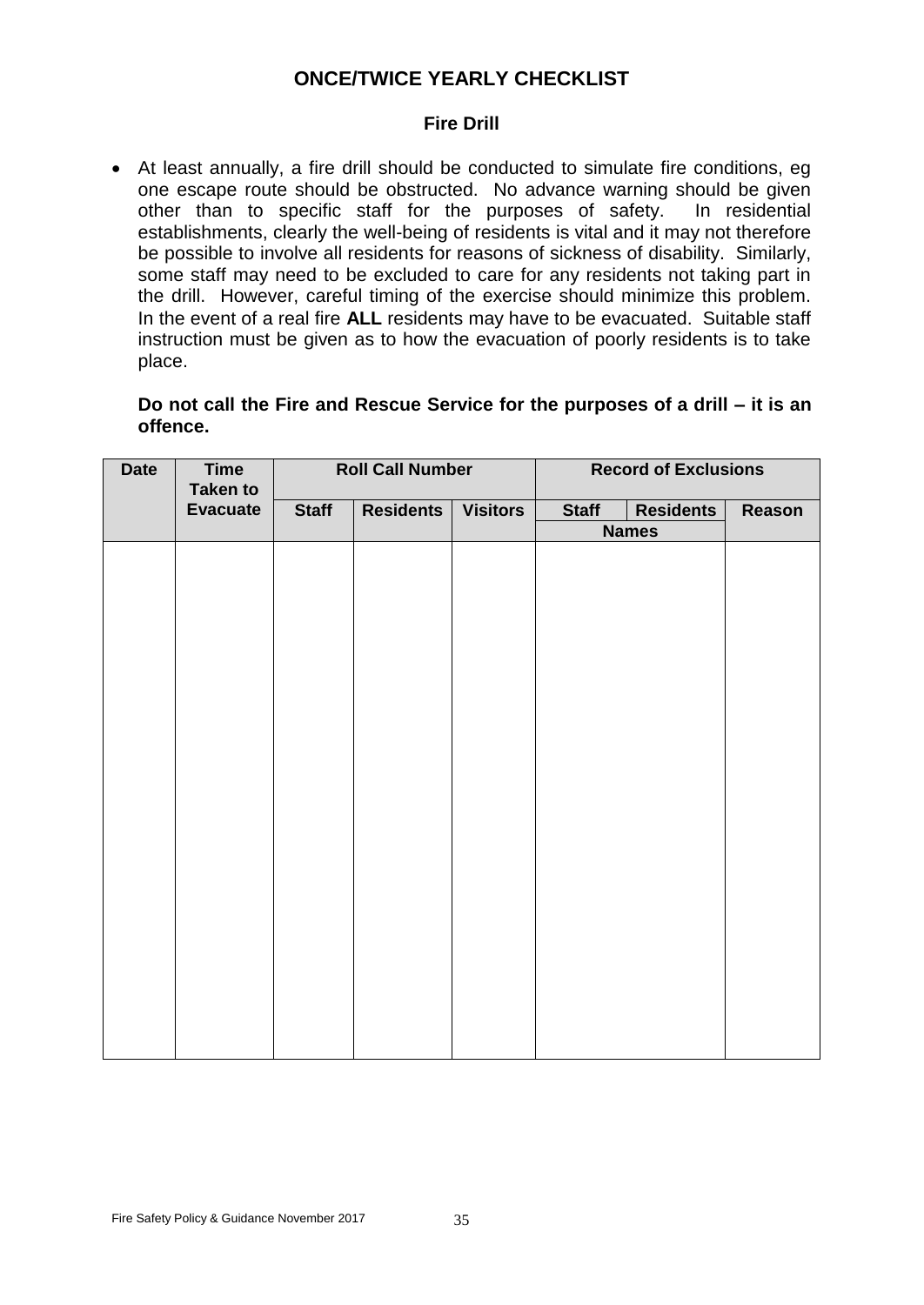# **ONCE/TWICE YEARLY CHECKLIST**

#### **Fire Drill**

 At least annually, a fire drill should be conducted to simulate fire conditions, eg one escape route should be obstructed. No advance warning should be given other than to specific staff for the purposes of safety. In residential establishments, clearly the well-being of residents is vital and it may not therefore be possible to involve all residents for reasons of sickness of disability. Similarly, some staff may need to be excluded to care for any residents not taking part in the drill. However, careful timing of the exercise should minimize this problem. In the event of a real fire **ALL** residents may have to be evacuated. Suitable staff instruction must be given as to how the evacuation of poorly residents is to take place.

#### **Do not call the Fire and Rescue Service for the purposes of a drill – it is an offence.**

| <b>Date</b> | <b>Time</b><br><b>Taken to</b> |              | <b>Roll Call Number</b> |                 | <b>Record of Exclusions</b> |                  |        |
|-------------|--------------------------------|--------------|-------------------------|-----------------|-----------------------------|------------------|--------|
|             | <b>Evacuate</b>                | <b>Staff</b> | <b>Residents</b>        | <b>Visitors</b> | <b>Staff</b>                | <b>Residents</b> | Reason |
|             |                                |              |                         |                 |                             | <b>Names</b>     |        |
|             |                                |              |                         |                 |                             |                  |        |
|             |                                |              |                         |                 |                             |                  |        |
|             |                                |              |                         |                 |                             |                  |        |
|             |                                |              |                         |                 |                             |                  |        |
|             |                                |              |                         |                 |                             |                  |        |
|             |                                |              |                         |                 |                             |                  |        |
|             |                                |              |                         |                 |                             |                  |        |
|             |                                |              |                         |                 |                             |                  |        |
|             |                                |              |                         |                 |                             |                  |        |
|             |                                |              |                         |                 |                             |                  |        |
|             |                                |              |                         |                 |                             |                  |        |
|             |                                |              |                         |                 |                             |                  |        |
|             |                                |              |                         |                 |                             |                  |        |
|             |                                |              |                         |                 |                             |                  |        |
|             |                                |              |                         |                 |                             |                  |        |
|             |                                |              |                         |                 |                             |                  |        |
|             |                                |              |                         |                 |                             |                  |        |
|             |                                |              |                         |                 |                             |                  |        |
|             |                                |              |                         |                 |                             |                  |        |
|             |                                |              |                         |                 |                             |                  |        |
|             |                                |              |                         |                 |                             |                  |        |
|             |                                |              |                         |                 |                             |                  |        |
|             |                                |              |                         |                 |                             |                  |        |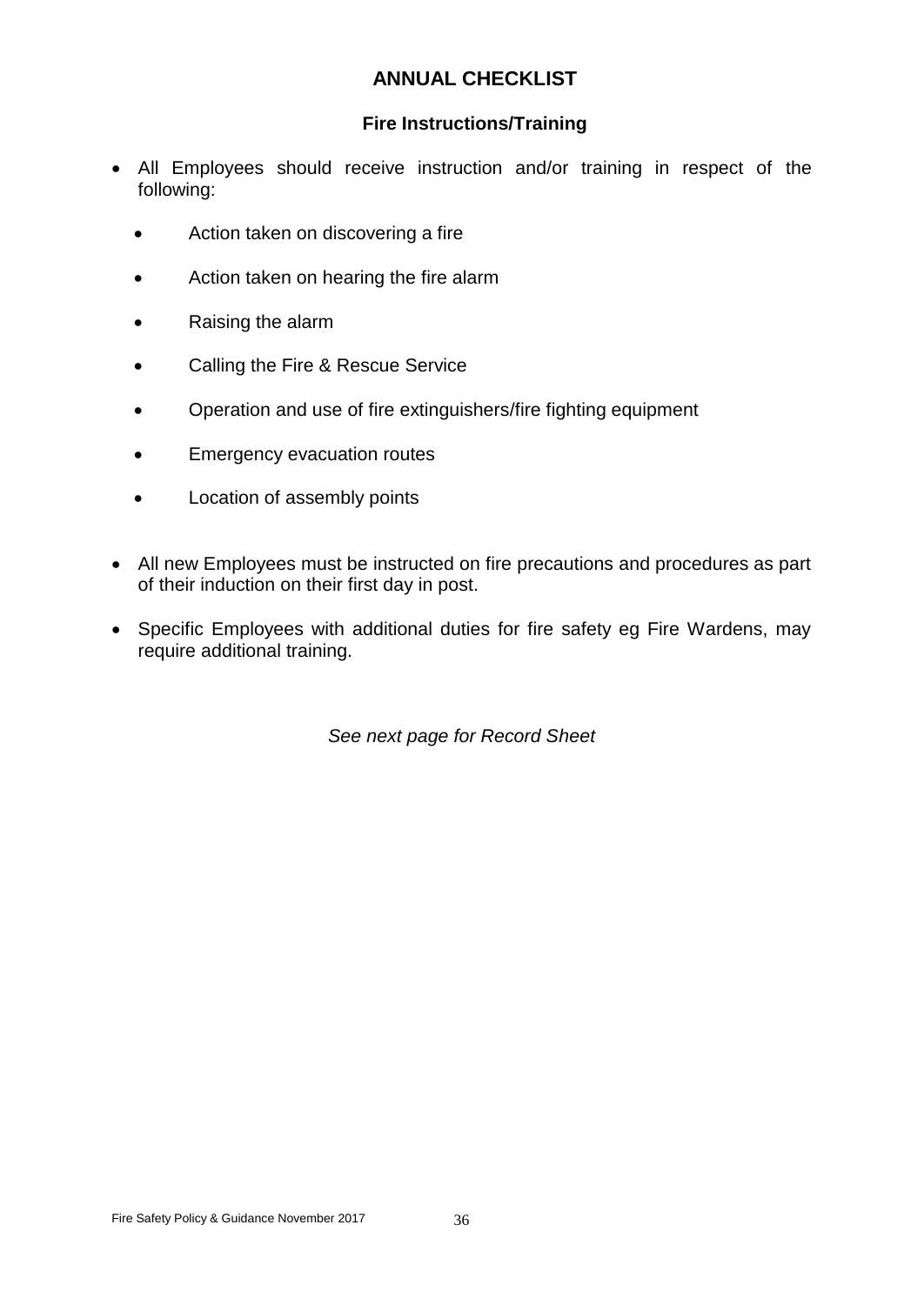# **ANNUAL CHECKLIST**

### **Fire Instructions/Training**

- All Employees should receive instruction and/or training in respect of the following:
	- Action taken on discovering a fire
	- Action taken on hearing the fire alarm
	- Raising the alarm
	- **•** Calling the Fire & Rescue Service
	- Operation and use of fire extinguishers/fire fighting equipment
	- **Emergency evacuation routes**
	- Location of assembly points
- All new Employees must be instructed on fire precautions and procedures as part of their induction on their first day in post.
- Specific Employees with additional duties for fire safety eg Fire Wardens, may require additional training.

*See next page for Record Sheet*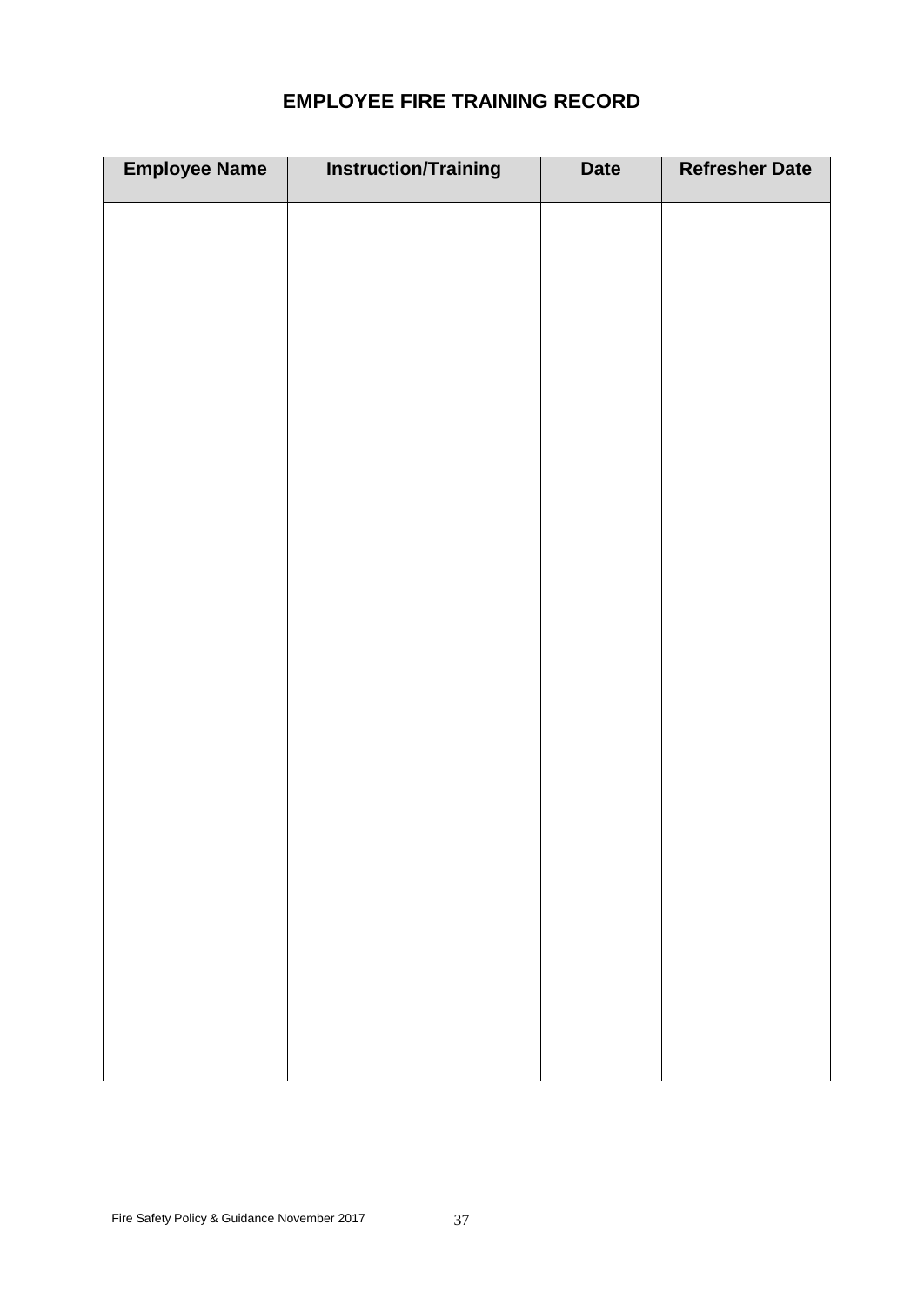# **EMPLOYEE FIRE TRAINING RECORD**

| <b>Employee Name</b> | <b>Instruction/Training</b> | <b>Date</b> | <b>Refresher Date</b> |
|----------------------|-----------------------------|-------------|-----------------------|
|                      |                             |             |                       |
|                      |                             |             |                       |
|                      |                             |             |                       |
|                      |                             |             |                       |
|                      |                             |             |                       |
|                      |                             |             |                       |
|                      |                             |             |                       |
|                      |                             |             |                       |
|                      |                             |             |                       |
|                      |                             |             |                       |
|                      |                             |             |                       |
|                      |                             |             |                       |
|                      |                             |             |                       |
|                      |                             |             |                       |
|                      |                             |             |                       |
|                      |                             |             |                       |
|                      |                             |             |                       |
|                      |                             |             |                       |
|                      |                             |             |                       |
|                      |                             |             |                       |
|                      |                             |             |                       |
|                      |                             |             |                       |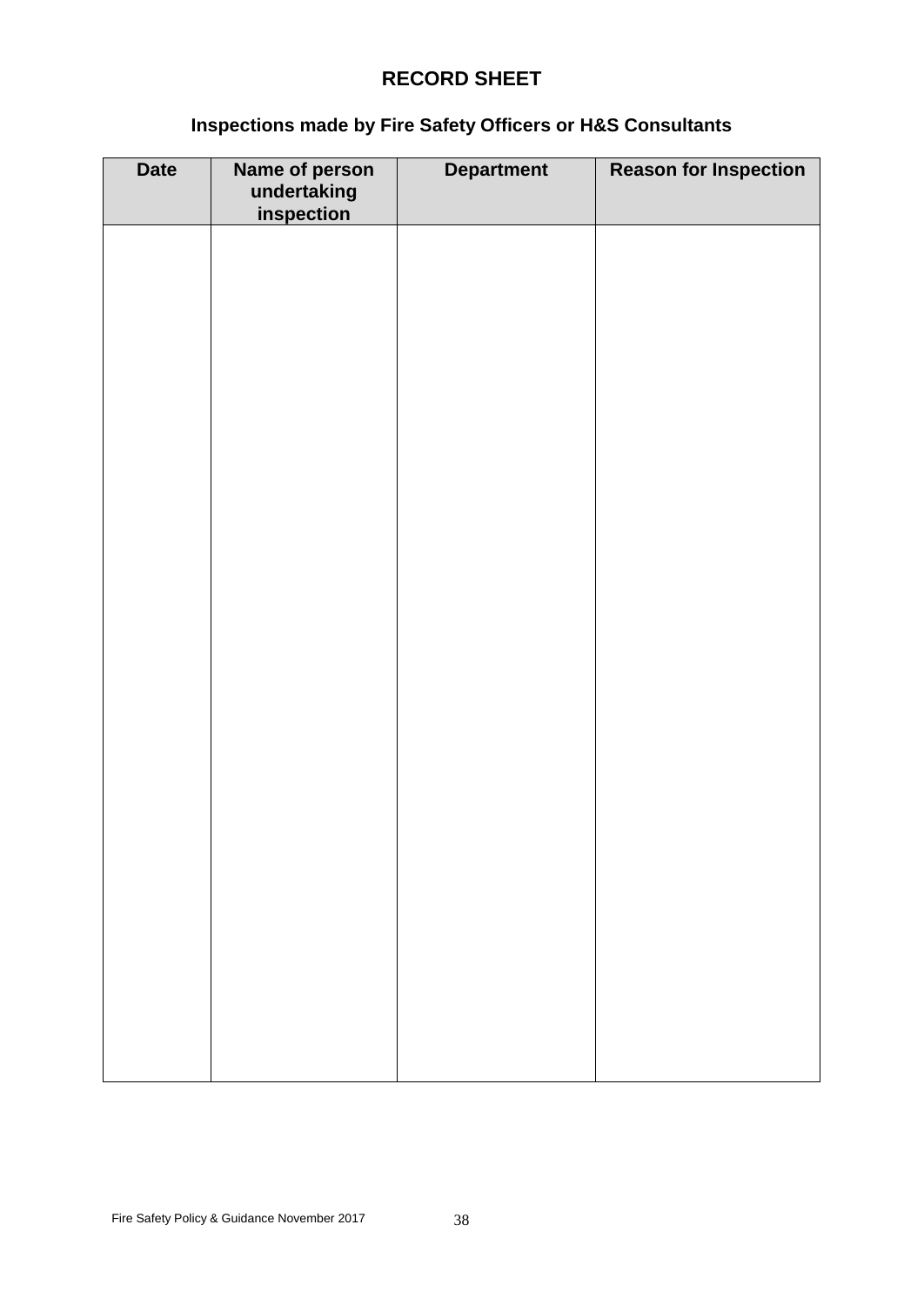# **RECORD SHEET**

# **Inspections made by Fire Safety Officers or H&S Consultants**

| <b>Date</b> | Name of person<br>undertaking<br>inspection | <b>Department</b> | <b>Reason for Inspection</b> |
|-------------|---------------------------------------------|-------------------|------------------------------|
|             |                                             |                   |                              |
|             |                                             |                   |                              |
|             |                                             |                   |                              |
|             |                                             |                   |                              |
|             |                                             |                   |                              |
|             |                                             |                   |                              |
|             |                                             |                   |                              |
|             |                                             |                   |                              |
|             |                                             |                   |                              |
|             |                                             |                   |                              |
|             |                                             |                   |                              |
|             |                                             |                   |                              |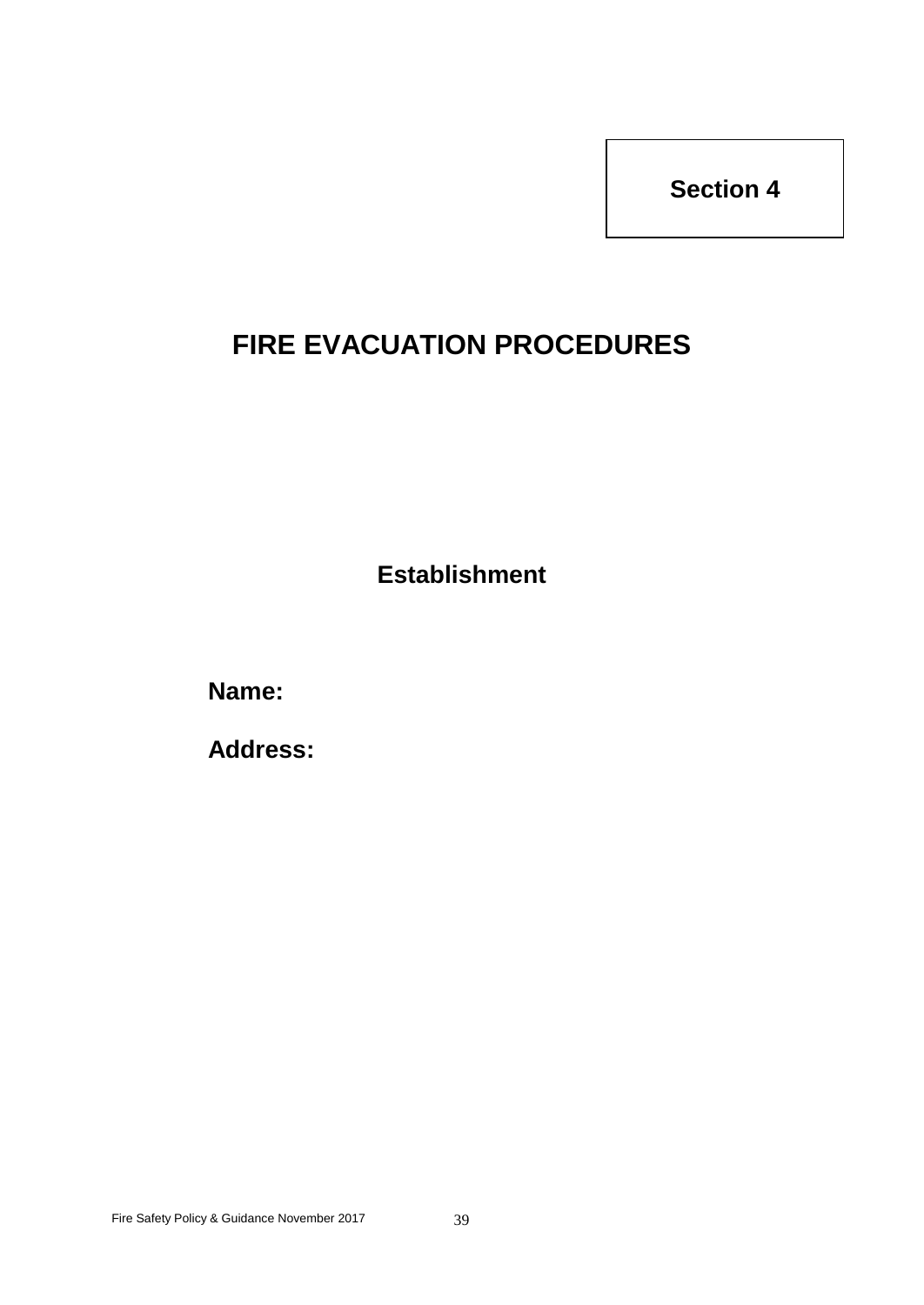# **FIRE EVACUATION PROCEDURES**

**Establishment**

**Name:**

**Address:**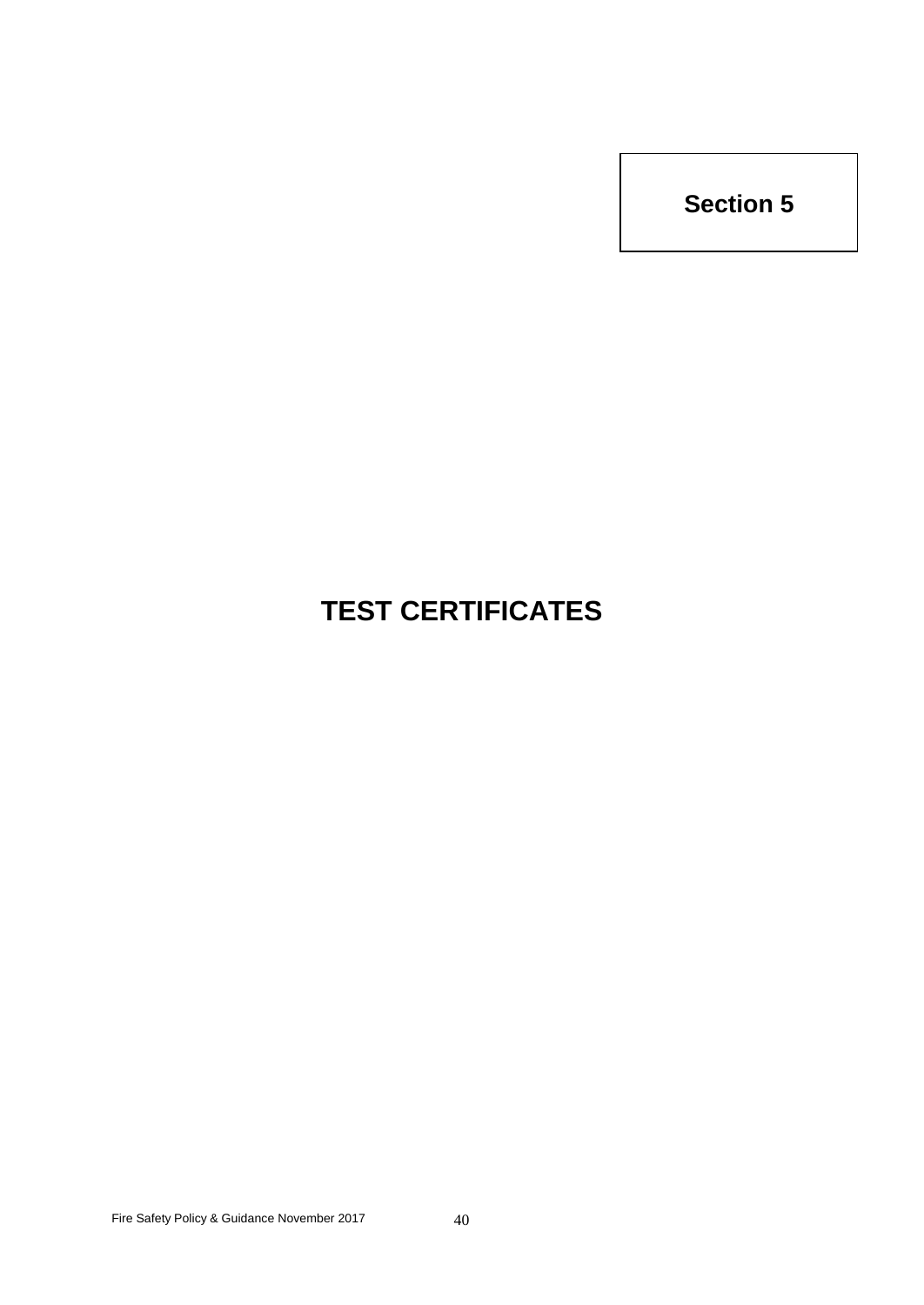# **TEST CERTIFICATES**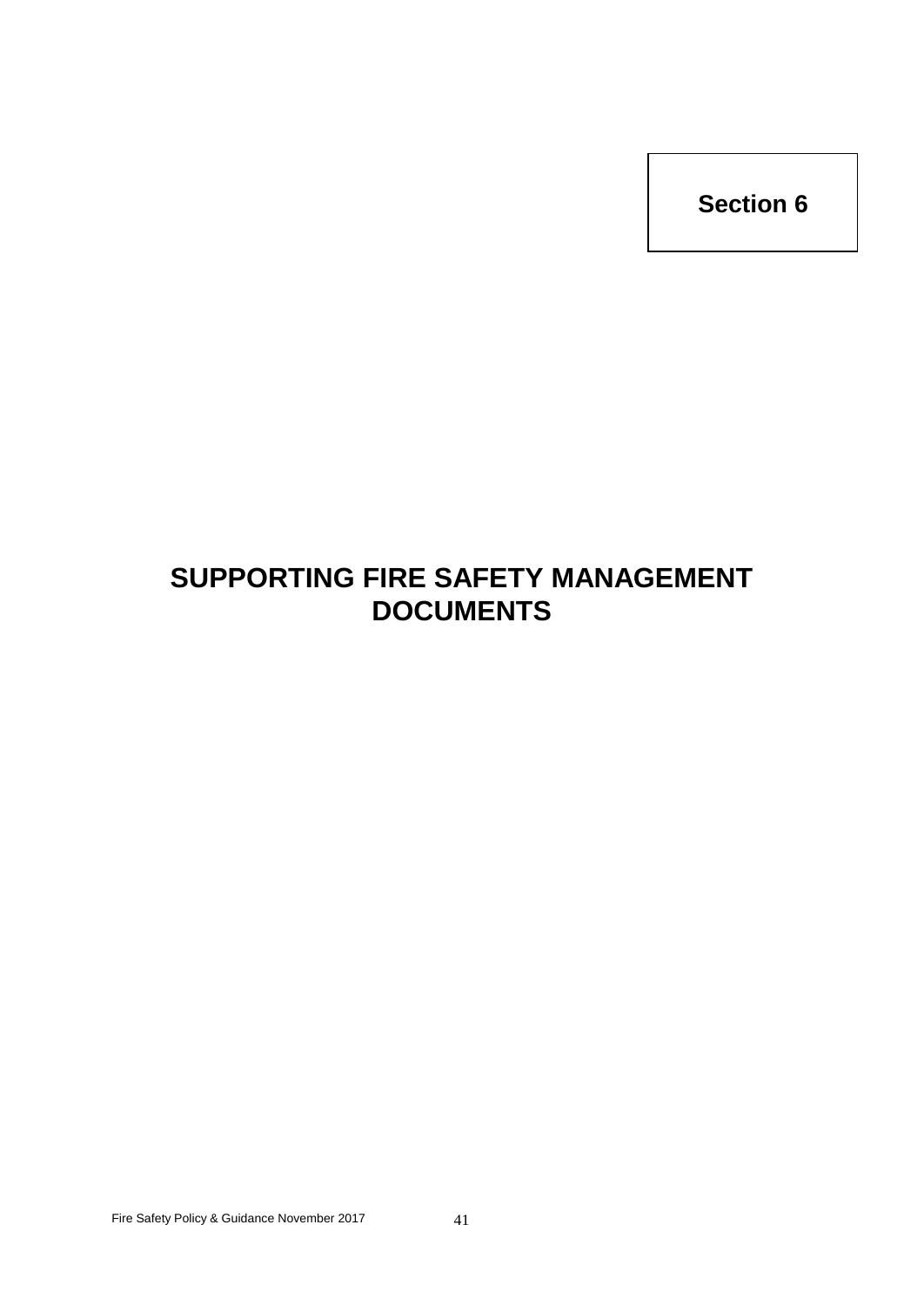# **SUPPORTING FIRE SAFETY MANAGEMENT DOCUMENTS**